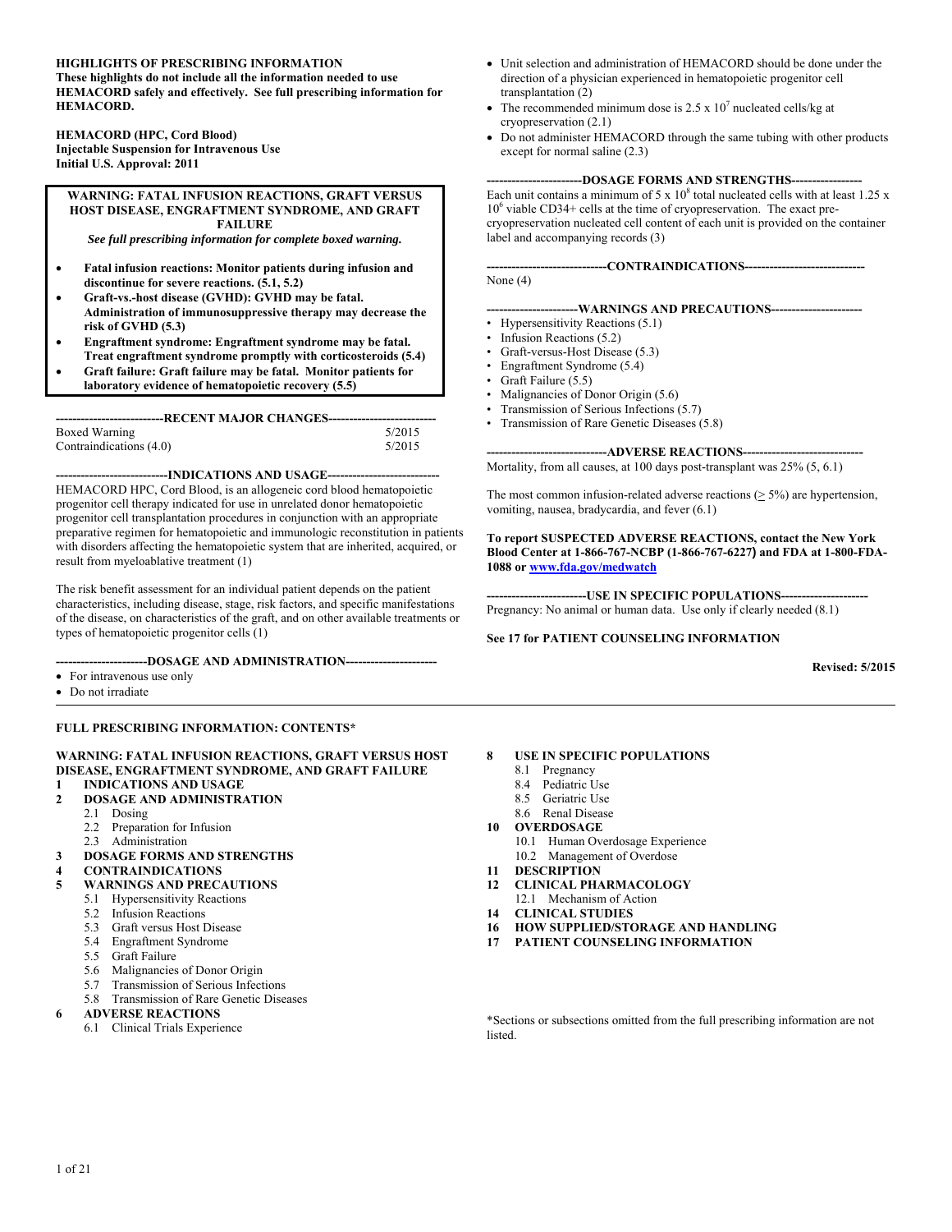#### **HIGHLIGHTS OF PRESCRIBING INFORMATION**

**These highlights do not include all the information needed to use HEMACORD safely and effectively. See full prescribing information for HEMACORD.** 

**HEMACORD (HPC, Cord Blood) Injectable Suspension for Intravenous Use Initial U.S. Approval: 2011** 

**WARNING: FATAL INFUSION REACTIONS, GRAFT VERSUS HOST DISEASE, ENGRAFTMENT SYNDROME, AND GRAFT FAILURE** 

*See full prescribing information for complete boxed warning.* 

- **Fatal infusion reactions: Monitor patients during infusion and discontinue for severe reactions. (5.1, 5.2)**
- **Graft-vs.-host disease (GVHD): GVHD may be fatal. Administration of immunosuppressive therapy may decrease the risk of GVHD (5.3)**
- **Engraftment syndrome: Engraftment syndrome may be fatal.**
- **Treat engraftment syndrome promptly with corticosteroids (5.4) Graft failure: Graft failure may be fatal. Monitor patients for**
- **laboratory evidence of hematopoietic recovery (5.5)**

| ----------------------------RECENT MAJOR CHANGES---------------------------- |        |  |
|------------------------------------------------------------------------------|--------|--|
| Boxed Warning                                                                | 5/2015 |  |
| Contraindications (4.0)                                                      | 5/2015 |  |

**---------------------------INDICATIONS AND USAGE---------------------------**  HEMACORD HPC, Cord Blood, is an allogeneic cord blood hematopoietic progenitor cell therapy indicated for use in unrelated donor hematopoietic progenitor cell transplantation procedures in conjunction with an appropriate preparative regimen for hematopoietic and immunologic reconstitution in patients with disorders affecting the hematopoietic system that are inherited, acquired, or result from myeloablative treatment (1)

The risk benefit assessment for an individual patient depends on the patient characteristics, including disease, stage, risk factors, and specific manifestations of the disease, on characteristics of the graft, and on other available treatments or types of hematopoietic progenitor cells (1)

**----------------------DOSAGE AND ADMINISTRATION----------------------** 

- For intravenous use only
- Do not irradiate

#### **FULL PRESCRIBING INFORMATION: CONTENTS\***

#### **WARNING: FATAL INFUSION REACTIONS, GRAFT VERSUS HOST DISEASE, ENGRAFTMENT SYNDROME, AND GRAFT FAILURE**

- **1 INDICATIONS AND USAGE**
- **2 DOSAGE AND ADMINISTRATION** 
	- 2.1 Dosing
		- 2.2 Preparation for Infusion
		- 2.3 Administration
- **3 DOSAGE FORMS AND STRENGTHS**
- **4 CONTRAINDICATIONS**
- **5 WARNINGS AND PRECAUTIONS** 
	- 5.1 Hypersensitivity Reactions
	- 5.2 Infusion Reactions
	- 5.3 Graft versus Host Disease
	- 5.4 Engraftment Syndrome
	- 5.5 Graft Failure
	- 5.6 Malignancies of Donor Origin
	- 5.7 Transmission of Serious Infections
	- 5.8 Transmission of Rare Genetic Diseases

#### **6 ADVERSE REACTIONS**

6.1 Clinical Trials Experience

- Unit selection and administration of HEMACORD should be done under the direction of a physician experienced in hematopoietic progenitor cell transplantation (2)
- The recommended minimum dose is  $2.5 \times 10^7$  nucleated cells/kg at cryopreservation (2.1)
- Do not administer HEMACORD through the same tubing with other products except for normal saline (2.3)

#### **-----------------------DOSAGE FORMS AND STRENGTHS-----------------**

Each unit contains a minimum of  $5 \times 10^8$  total nucleated cells with at least 1.25 x 10<sup>6</sup> viable CD34+ cells at the time of cryopreservation. The exact precryopreservation nucleated cell content of each unit is provided on the container label and accompanying records (3)

**-----------------------------CONTRAINDICATIONS-----------------------------**  None (4)

#### **----------------------WARNINGS AND PRECAUTIONS----------------------**

- Hypersensitivity Reactions (5.1)
- Infusion Reactions (5.2)
- Graft-versus-Host Disease (5.3)
- Engraftment Syndrome (5.4)
- Graft Failure (5.5)
- Malignancies of Donor Origin (5.6)
- Transmission of Serious Infections (5.7)
- Transmission of Rare Genetic Diseases (5.8)

---ADVERSE REACTIONS------Mortality, from all causes, at 100 days post-transplant was 25% (5, 6.1)

The most common infusion-related adverse reactions  $( \geq 5\%)$  are hypertension, vomiting, nausea, bradycardia, and fever (6.1)

#### **To report SUSPECTED ADVERSE REACTIONS, contact the New York Blood Center at 1-866-767-NCBP (1-866-767-6227) and FDA at 1-800-FDA-1088 or www.fda.gov/medwatch**

**------------------------USE IN SPECIFIC POPULATIONS---------------------**  Pregnancy: No animal or human data. Use only if clearly needed (8.1)

#### **See 17 for PATIENT COUNSELING INFORMATION**

**Revised: 5/2015**

- **8 USE IN SPECIFIC POPULATIONS** 
	- 8.1 Pregnancy
	- 8.4 Pediatric Use
	- 8.5 Geriatric Use
	- 8.6 Renal Disease
- **10 OVERDOSAGE** 
	- 10.1 Human Overdosage Experience
	- 10.2 Management of Overdose
- **11 DESCRIPTION**
- **12 CLINICAL PHARMACOLOGY**  12.1 Mechanism of Action
- 
- **14 CLINICAL STUDIES**
- **16 HOW SUPPLIED/STORAGE AND HANDLING**
- **17 PATIENT COUNSELING INFORMATION**

\*Sections or subsections omitted from the full prescribing information are not listed.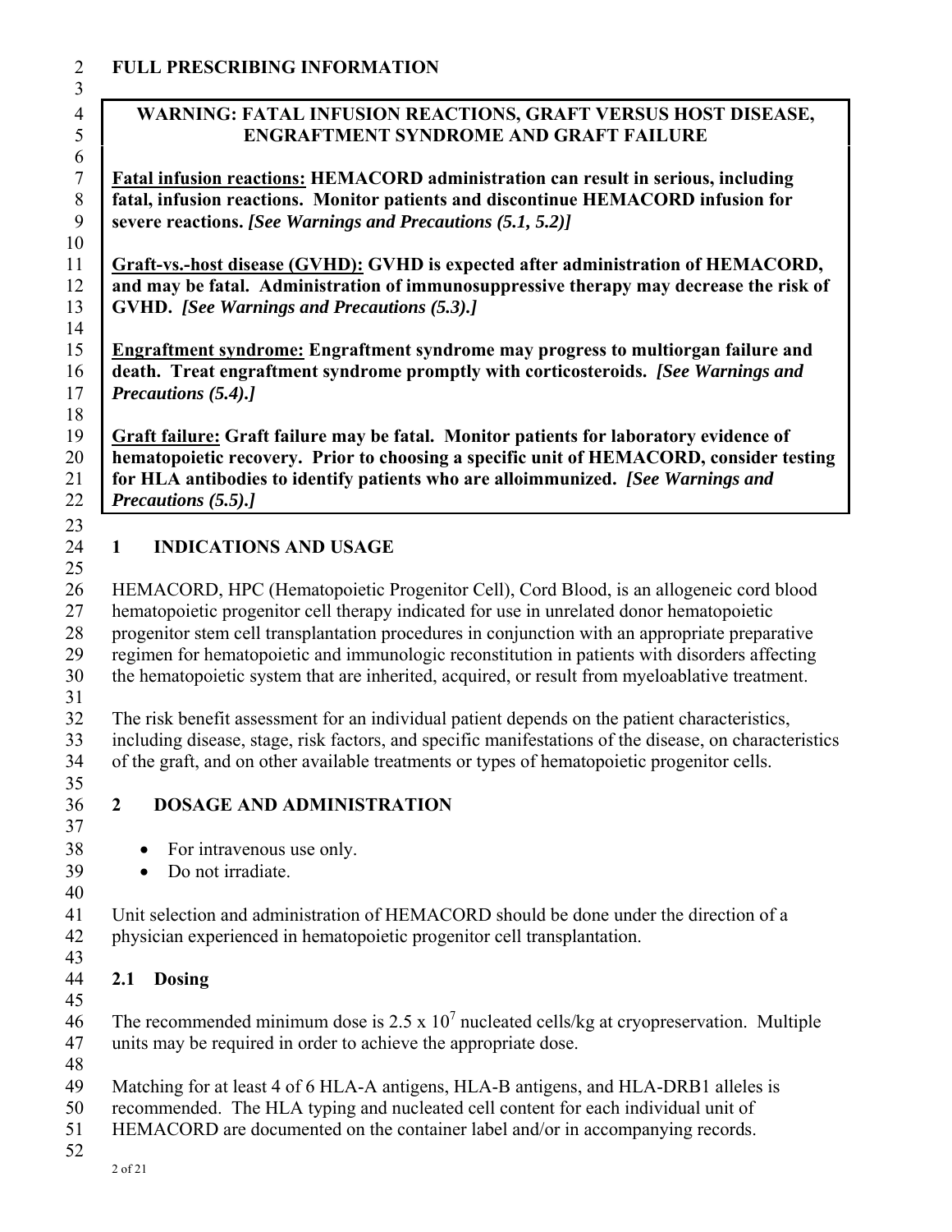### **FULL PRESCRIBING INFORMATION**

### **WARNING: FATAL INFUSION REACTIONS, GRAFT VERSUS HOST DISEASE, ENGRAFTMENT SYNDROME AND GRAFT FAILURE**

**Fatal infusion reactions: HEMACORD administration can result in serious, including fatal, infusion reactions. Monitor patients and discontinue HEMACORD infusion for severe reactions.** *[See Warnings and Precautions (5.1, 5.2)]* 

**Graft-vs.-host disease (GVHD): GVHD is expected after administration of HEMACORD, and may be fatal. Administration of immunosuppressive therapy may decrease the risk of GVHD.** *[See Warnings and Precautions (5.3).]*  

**Engraftment syndrome: Engraftment syndrome may progress to multiorgan failure and death. Treat engraftment syndrome promptly with corticosteroids.** *[See Warnings and Precautions (5.4).]* 

 **Graft failure: Graft failure may be fatal. Monitor patients for laboratory evidence of hematopoietic recovery. Prior to choosing a specific unit of HEMACORD, consider testing for HLA antibodies to identify patients who are alloimmunized.** *[See Warnings and Precautions (5.5).]*

### **1 INDICATIONS AND USAGE**

 26 HEMACORD, HPC (Hematopoietic Progenitor Cell), Cord Blood, is an allogeneic cord blood 27 hematopoietic progenitor cell therapy indicated for use in unrelated donor hematopoietic 28 progenitor stem cell transplantation procedures in conjunction with an appropriate preparative 29 regimen for hematopoietic and immunologic reconstitution in patients with disorders affecting 30 the hematopoietic system that are inherited, acquired, or result from myeloablative treatment. 32 The risk benefit assessment for an individual patient depends on the patient characteristics, 33 including disease, stage, risk factors, and specific manifestations of the disease, on characteristics

- 34 of the graft, and on other available treatments or types of hematopoietic progenitor cells.
- 

# **2 DOSAGE AND ADMINISTRATION**

- 38 For intravenous use only.
- Do not irradiate.
- 

41 Unit selection and administration of HEMACORD should be done under the direction of a 42 physician experienced in hematopoietic progenitor cell transplantation.

## **2.1 Dosing**

 46 The recommended minimum dose is  $2.5 \times 10^7$  nucleated cells/kg at cryopreservation. Multiple 47 units may be required in order to achieve the appropriate dose.

49 Matching for at least 4 of 6 HLA-A antigens, HLA-B antigens, and HLA-DRB1 alleles is

50 recommended. The HLA typing and nucleated cell content for each individual unit of

- 51 HEMACORD are documented on the container label and/or in accompanying records.
-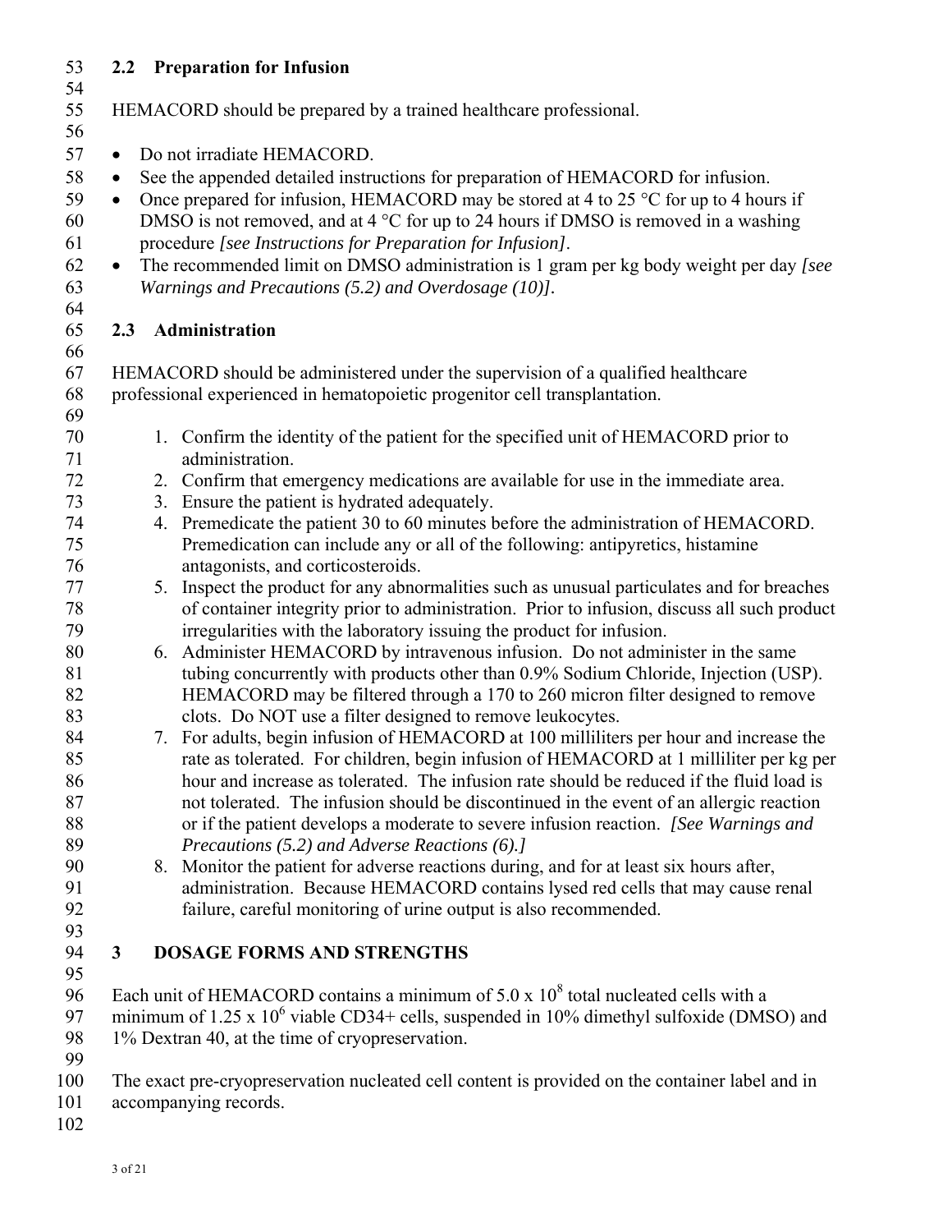### 53 **2.2 Preparation for Infusion**  53<br>54

| J4       |              |                                                                                                                                                |
|----------|--------------|------------------------------------------------------------------------------------------------------------------------------------------------|
| 55       |              | HEMACORD should be prepared by a trained healthcare professional.                                                                              |
| 56<br>57 | $\bullet$    | Do not irradiate HEMACORD.                                                                                                                     |
|          |              |                                                                                                                                                |
| 58       | $\bullet$    | See the appended detailed instructions for preparation of HEMACORD for infusion.                                                               |
| 59       | $\bullet$    | Once prepared for infusion, HEMACORD may be stored at 4 to 25 $\degree$ C for up to 4 hours if                                                 |
| 60       |              | DMSO is not removed, and at $4^{\circ}$ C for up to 24 hours if DMSO is removed in a washing                                                   |
| 61       |              | procedure [see Instructions for Preparation for Infusion].                                                                                     |
| 62<br>63 | $\bullet$    | The recommended limit on DMSO administration is 1 gram per kg body weight per day [see<br>Warnings and Precautions (5.2) and Overdosage (10)]. |
| 64<br>65 | 2.3          | Administration                                                                                                                                 |
| 66       |              |                                                                                                                                                |
| 67       |              | HEMACORD should be administered under the supervision of a qualified healthcare                                                                |
| 68       |              | professional experienced in hematopoietic progenitor cell transplantation.                                                                     |
| 69       |              |                                                                                                                                                |
| 70       |              | 1. Confirm the identity of the patient for the specified unit of HEMACORD prior to                                                             |
| 71       |              | administration.                                                                                                                                |
| 72       |              | 2. Confirm that emergency medications are available for use in the immediate area.                                                             |
| 73       |              | 3. Ensure the patient is hydrated adequately.                                                                                                  |
| 74       |              | 4. Premedicate the patient 30 to 60 minutes before the administration of HEMACORD.                                                             |
| 75       |              | Premedication can include any or all of the following: antipyretics, histamine                                                                 |
| 76       |              | antagonists, and corticosteroids.                                                                                                              |
| 77       | 5.           | Inspect the product for any abnormalities such as unusual particulates and for breaches                                                        |
| 78       |              | of container integrity prior to administration. Prior to infusion, discuss all such product                                                    |
| 79       |              | irregularities with the laboratory issuing the product for infusion.                                                                           |
| 80       |              | 6. Administer HEMACORD by intravenous infusion. Do not administer in the same                                                                  |
| 81       |              | tubing concurrently with products other than 0.9% Sodium Chloride, Injection (USP).                                                            |
| 82       |              | HEMACORD may be filtered through a 170 to 260 micron filter designed to remove                                                                 |
| 83       |              | clots. Do NOT use a filter designed to remove leukocytes.                                                                                      |
| 84       | 7.           | For adults, begin infusion of HEMACORD at 100 milliliters per hour and increase the                                                            |
| 85       |              | rate as tolerated. For children, begin infusion of HEMACORD at 1 milliliter per kg per                                                         |
| 86       |              | hour and increase as tolerated. The infusion rate should be reduced if the fluid load is                                                       |
| 87       |              | not tolerated. The infusion should be discontinued in the event of an allergic reaction                                                        |
| 88       |              | or if the patient develops a moderate to severe infusion reaction. [See Warnings and                                                           |
| 89       |              | Precautions (5.2) and Adverse Reactions (6).]                                                                                                  |
| 90<br>91 |              | 8. Monitor the patient for adverse reactions during, and for at least six hours after,                                                         |
| 92       |              | administration. Because HEMACORD contains lysed red cells that may cause renal                                                                 |
| 93       |              | failure, careful monitoring of urine output is also recommended.                                                                               |
| 94       | $\mathbf{3}$ | <b>DOSAGE FORMS AND STRENGTHS</b>                                                                                                              |
| 95       |              |                                                                                                                                                |
| 96       |              | Each unit of HEMACORD contains a minimum of $5.0 \times 10^8$ total nucleated cells with a                                                     |
| 97       |              | minimum of 1.25 x $10^6$ viable CD34+ cells, suspended in 10% dimethyl sulfoxide (DMSO) and                                                    |
| 98       |              | 1% Dextran 40, at the time of cryopreservation.                                                                                                |
| 99       |              |                                                                                                                                                |
| 100      |              | The exact pre-cryopreservation nucleated cell content is provided on the container label and in                                                |
| 101      |              | accompanying records.                                                                                                                          |
| 102      |              |                                                                                                                                                |
|          |              |                                                                                                                                                |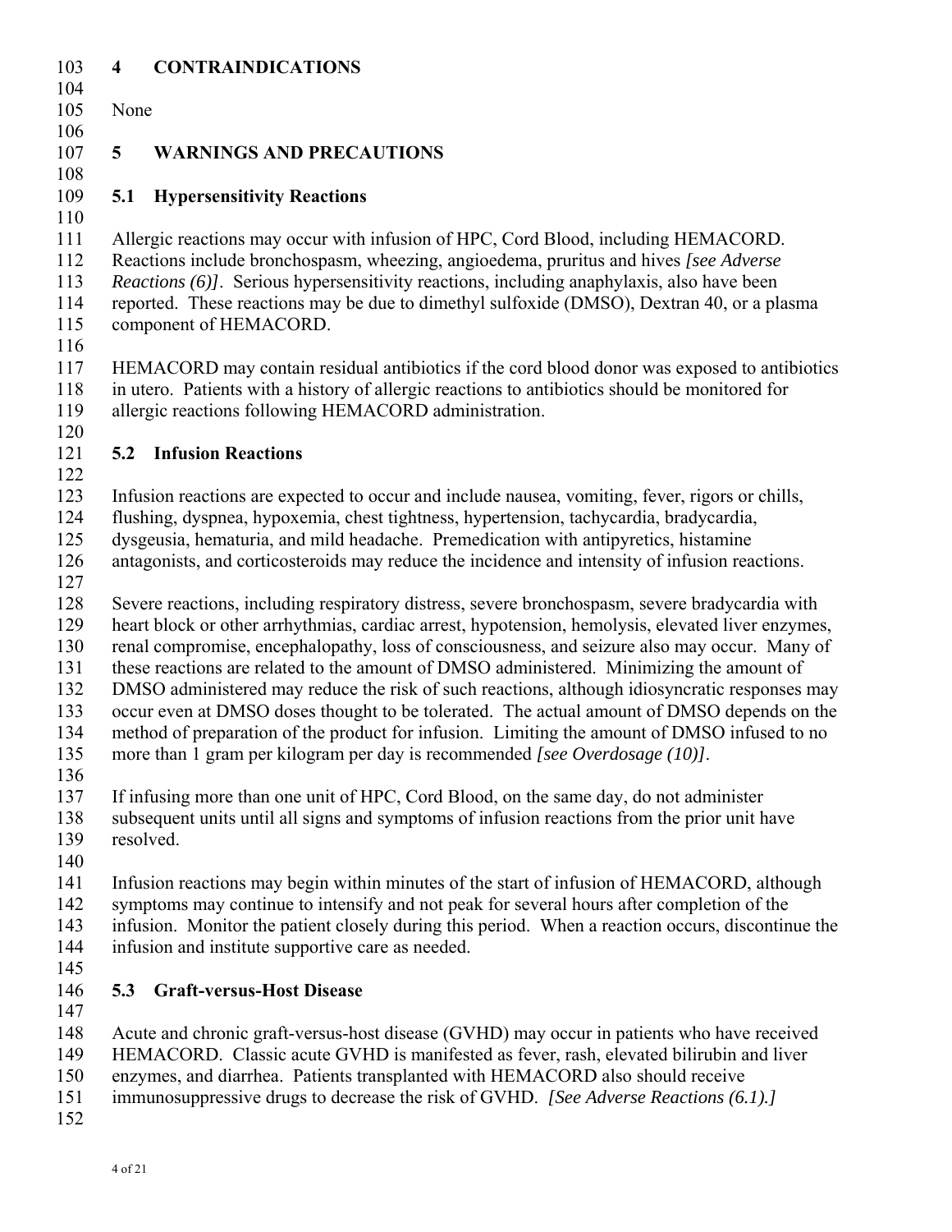### 103 **4 CONTRAINDICATIONS**  103<br>104

| 1 V T      |                 |                                                                                                                                                                                            |
|------------|-----------------|--------------------------------------------------------------------------------------------------------------------------------------------------------------------------------------------|
| 105        | None            |                                                                                                                                                                                            |
| 106        |                 |                                                                                                                                                                                            |
| 107        | $5\overline{)}$ | <b>WARNINGS AND PRECAUTIONS</b>                                                                                                                                                            |
| 108        |                 |                                                                                                                                                                                            |
| 109        | 5.1             | <b>Hypersensitivity Reactions</b>                                                                                                                                                          |
| 110<br>111 |                 |                                                                                                                                                                                            |
| 112        |                 | Allergic reactions may occur with infusion of HPC, Cord Blood, including HEMACORD.<br>Reactions include bronchospasm, wheezing, angioedema, pruritus and hives [see Adverse]               |
| 113        |                 | <i>Reactions (6)]</i> . Serious hypersensitivity reactions, including anaphylaxis, also have been                                                                                          |
| 114        |                 | reported. These reactions may be due to dimethyl sulfoxide (DMSO), Dextran 40, or a plasma                                                                                                 |
| 115        |                 | component of HEMACORD.                                                                                                                                                                     |
| 116        |                 |                                                                                                                                                                                            |
| 117        |                 | HEMACORD may contain residual antibiotics if the cord blood donor was exposed to antibiotics                                                                                               |
| 118        |                 | in utero. Patients with a history of allergic reactions to antibiotics should be monitored for                                                                                             |
| 119        |                 | allergic reactions following HEMACORD administration.                                                                                                                                      |
| 120        |                 |                                                                                                                                                                                            |
| 121        |                 | <b>5.2 Infusion Reactions</b>                                                                                                                                                              |
| 122        |                 |                                                                                                                                                                                            |
| 123        |                 | Infusion reactions are expected to occur and include nausea, vomiting, fever, rigors or chills,                                                                                            |
| 124        |                 | flushing, dyspnea, hypoxemia, chest tightness, hypertension, tachycardia, bradycardia,                                                                                                     |
| 125        |                 | dysgeusia, hematuria, and mild headache. Premedication with antipyretics, histamine                                                                                                        |
| 126        |                 | antagonists, and corticosteroids may reduce the incidence and intensity of infusion reactions.                                                                                             |
| 127        |                 |                                                                                                                                                                                            |
| 128        |                 | Severe reactions, including respiratory distress, severe bronchospasm, severe bradycardia with                                                                                             |
| 129        |                 | heart block or other arrhythmias, cardiac arrest, hypotension, hemolysis, elevated liver enzymes,                                                                                          |
| 130        |                 | renal compromise, encephalopathy, loss of consciousness, and seizure also may occur. Many of                                                                                               |
| 131        |                 | these reactions are related to the amount of DMSO administered. Minimizing the amount of                                                                                                   |
| 132<br>133 |                 | DMSO administered may reduce the risk of such reactions, although idiosyncratic responses may                                                                                              |
| 134        |                 | occur even at DMSO doses thought to be tolerated. The actual amount of DMSO depends on the<br>method of preparation of the product for infusion. Limiting the amount of DMSO infused to no |
| 135        |                 | more than 1 gram per kilogram per day is recommended [see Overdosage $(10)$ ].                                                                                                             |
| 136        |                 |                                                                                                                                                                                            |
| 137        |                 | If infusing more than one unit of HPC, Cord Blood, on the same day, do not administer                                                                                                      |
| 138        |                 | subsequent units until all signs and symptoms of infusion reactions from the prior unit have                                                                                               |
| 139        |                 | resolved.                                                                                                                                                                                  |
| 140        |                 |                                                                                                                                                                                            |
| 141        |                 | Infusion reactions may begin within minutes of the start of infusion of HEMACORD, although                                                                                                 |
| 142        |                 | symptoms may continue to intensify and not peak for several hours after completion of the                                                                                                  |
| 143        |                 | infusion. Monitor the patient closely during this period. When a reaction occurs, discontinue the                                                                                          |
| 144        |                 | infusion and institute supportive care as needed.                                                                                                                                          |
| 145        |                 |                                                                                                                                                                                            |
| 146        | 5.3             | <b>Graft-versus-Host Disease</b>                                                                                                                                                           |
| 147        |                 |                                                                                                                                                                                            |
| 148        |                 | Acute and chronic graft-versus-host disease (GVHD) may occur in patients who have received                                                                                                 |
| 149        |                 | HEMACORD. Classic acute GVHD is manifested as fever, rash, elevated bilirubin and liver                                                                                                    |
| 150        |                 | enzymes, and diarrhea. Patients transplanted with HEMACORD also should receive                                                                                                             |
| 151        |                 | immunosuppressive drugs to decrease the risk of GVHD. [See Adverse Reactions (6.1).]                                                                                                       |
| 152        |                 |                                                                                                                                                                                            |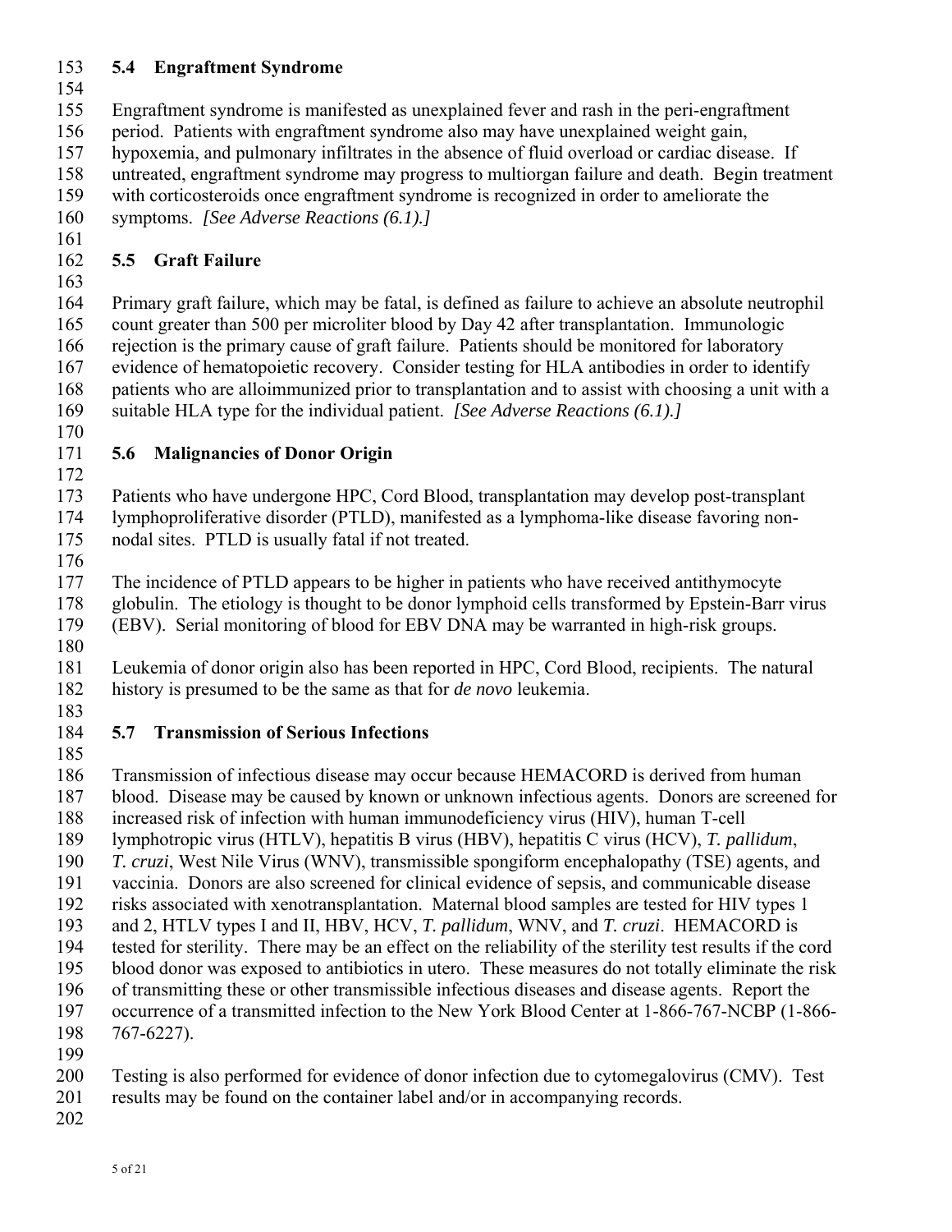# 153 **5.4 Engraftment Syndrome**

- 155 Engraftment syndrome is manifested as unexplained fever and rash in the peri-engraftment
- 156 period. Patients with engraftment syndrome also may have unexplained weight gain,
- 157 hypoxemia, and pulmonary infiltrates in the absence of fluid overload or cardiac disease. If
- 158 untreated, engraftment syndrome may progress to multiorgan failure and death. Begin treatment
- 159 with corticosteroids once engraftment syndrome is recognized in order to ameliorate the
- 160 symptoms. *[See Adverse Reactions (6.1).]*
- 161

# 162 **5.5 Graft Failure**

163

164 Primary graft failure, which may be fatal, is defined as failure to achieve an absolute neutrophil 165 count greater than 500 per microliter blood by Day 42 after transplantation. Immunologic 166 rejection is the primary cause of graft failure. Patients should be monitored for laboratory 167 evidence of hematopoietic recovery. Consider testing for HLA antibodies in order to identify 168 patients who are alloimmunized prior to transplantation and to assist with choosing a unit with a 169 suitable HLA type for the individual patient. *[See Adverse Reactions (6.1).]*

170

### 171 **5.6 Malignancies of Donor Origin**  172

173 Patients who have undergone HPC, Cord Blood, transplantation may develop post-transplant 174 lymphoproliferative disorder (PTLD), manifested as a lymphoma-like disease favoring non-175 nodal sites. PTLD is usually fatal if not treated.

176

177 The incidence of PTLD appears to be higher in patients who have received antithymocyte 178 globulin. The etiology is thought to be donor lymphoid cells transformed by Epstein-Barr virus 179 (EBV). Serial monitoring of blood for EBV DNA may be warranted in high-risk groups.

180

181 Leukemia of donor origin also has been reported in HPC, Cord Blood, recipients. The natural 182 history is presumed to be the same as that for *de novo* leukemia.

183

### 184 **5.7 Transmission of Serious Infections**  185

186 Transmission of infectious disease may occur because HEMACORD is derived from human

- 187 blood. Disease may be caused by known or unknown infectious agents. Donors are screened for
- 188 increased risk of infection with human immunodeficiency virus (HIV), human T-cell
- 189 lymphotropic virus (HTLV), hepatitis B virus (HBV), hepatitis C virus (HCV), *T. pallidum*,
- 190 *T. cruzi*, West Nile Virus (WNV), transmissible spongiform encephalopathy (TSE) agents, and
- 191 vaccinia. Donors are also screened for clinical evidence of sepsis, and communicable disease
- 192 risks associated with xenotransplantation. Maternal blood samples are tested for HIV types 1
- 193 and 2, HTLV types I and II, HBV, HCV, *T. pallidum*, WNV, and *T. cruzi*. HEMACORD is
- 194 tested for sterility. There may be an effect on the reliability of the sterility test results if the cord
- 195 blood donor was exposed to antibiotics in utero. These measures do not totally eliminate the risk
- 196 of transmitting these or other transmissible infectious diseases and disease agents. Report the 197 occurrence of a transmitted infection to the New York Blood Center at 1-866-767-NCBP (1-866-
- 198 767-6227).
- 199
- 200 Testing is also performed for evidence of donor infection due to cytomegalovirus (CMV). Test
- 201 results may be found on the container label and/or in accompanying records.
- 202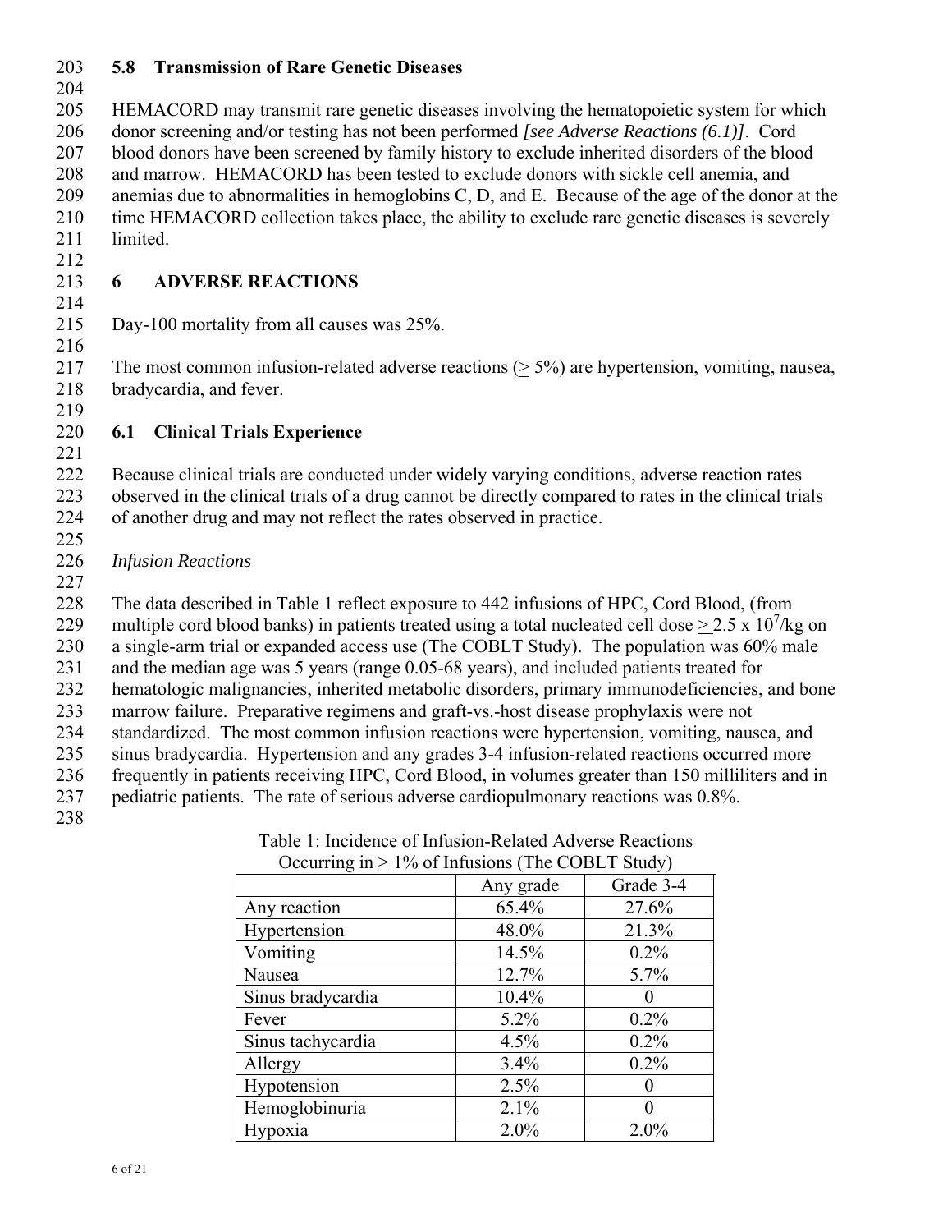### 203 **5.8 Transmission of Rare Genetic Diseases**

205 HEMACORD may transmit rare genetic diseases involving the hematopoietic system for which 206 donor screening and/or testing has not been performed *[see Adverse Reactions (6.1)]*. Cord 207 blood donors have been screened by family history to exclude inherited disorders of the blood 208 and marrow. HEMACORD has been tested to exclude donors with sickle cell anemia, and 209 anemias due to abnormalities in hemoglobins C, D, and E. Because of the age of the donor at the 210 time HEMACORD collection takes place, the ability to exclude rare genetic diseases is severely 211 limited.

212

216

#### 213 **6 ADVERSE REACTIONS**  214

215 Day-100 mortality from all causes was 25%.

217 The most common infusion-related adverse reactions (> 5%) are hypertension, vomiting, nausea, 218 bradycardia, and fever.

219

227

#### 220 **6.1 Clinical Trials Experience**  221

222 Because clinical trials are conducted under widely varying conditions, adverse reaction rates 223 observed in the clinical trials of a drug cannot be directly compared to rates in the clinical trials 224 of another drug and may not reflect the rates observed in practice.

 225 226 *Infusion Reactions* 

228 The data described in Table 1 reflect exposure to 442 infusions of HPC, Cord Blood, (from

229 multiple cord blood banks) in patients treated using a total nucleated cell dose  $> 2.5 \times 10^7$ /kg on

230 a single-arm trial or expanded access use (The COBLT Study). The population was 60% male

231 and the median age was 5 years (range 0.05-68 years), and included patients treated for 232 hematologic malignancies, inherited metabolic disorders, primary immunodeficiencies, and bone

233 marrow failure. Preparative regimens and graft-vs.-host disease prophylaxis were not

234 standardized. The most common infusion reactions were hypertension, vomiting, nausea, and 235 sinus bradycardia. Hypertension and any grades 3-4 infusion-related reactions occurred more

- 236 frequently in patients receiving HPC, Cord Blood, in volumes greater than 150 milliliters and in
- 237 pediatric patients. The rate of serious adverse cardiopulmonary reactions was 0.8%.
- 238

| Occurring $m \le 1/0$ or miasions (The CODLT Staay) |           |           |
|-----------------------------------------------------|-----------|-----------|
|                                                     | Any grade | Grade 3-4 |
| Any reaction                                        | 65.4%     | 27.6%     |
| Hypertension                                        | 48.0%     | 21.3%     |
| Vomiting                                            | 14.5%     | 0.2%      |
| Nausea                                              | 12.7%     | 5.7%      |
| Sinus bradycardia                                   | 10.4%     |           |
| Fever                                               | $5.2\%$   | 0.2%      |
| Sinus tachycardia                                   | 4.5%      | 0.2%      |
| Allergy                                             | 3.4%      | 0.2%      |
| Hypotension                                         | 2.5%      |           |
| Hemoglobinuria                                      | 2.1%      |           |
| Hypoxia                                             | 2.0%      | 2.0%      |

Table 1: Incidence of Infusion-Related Adverse Reactions Occurring in  $> 1\%$  of Infusions (The COBI T Study)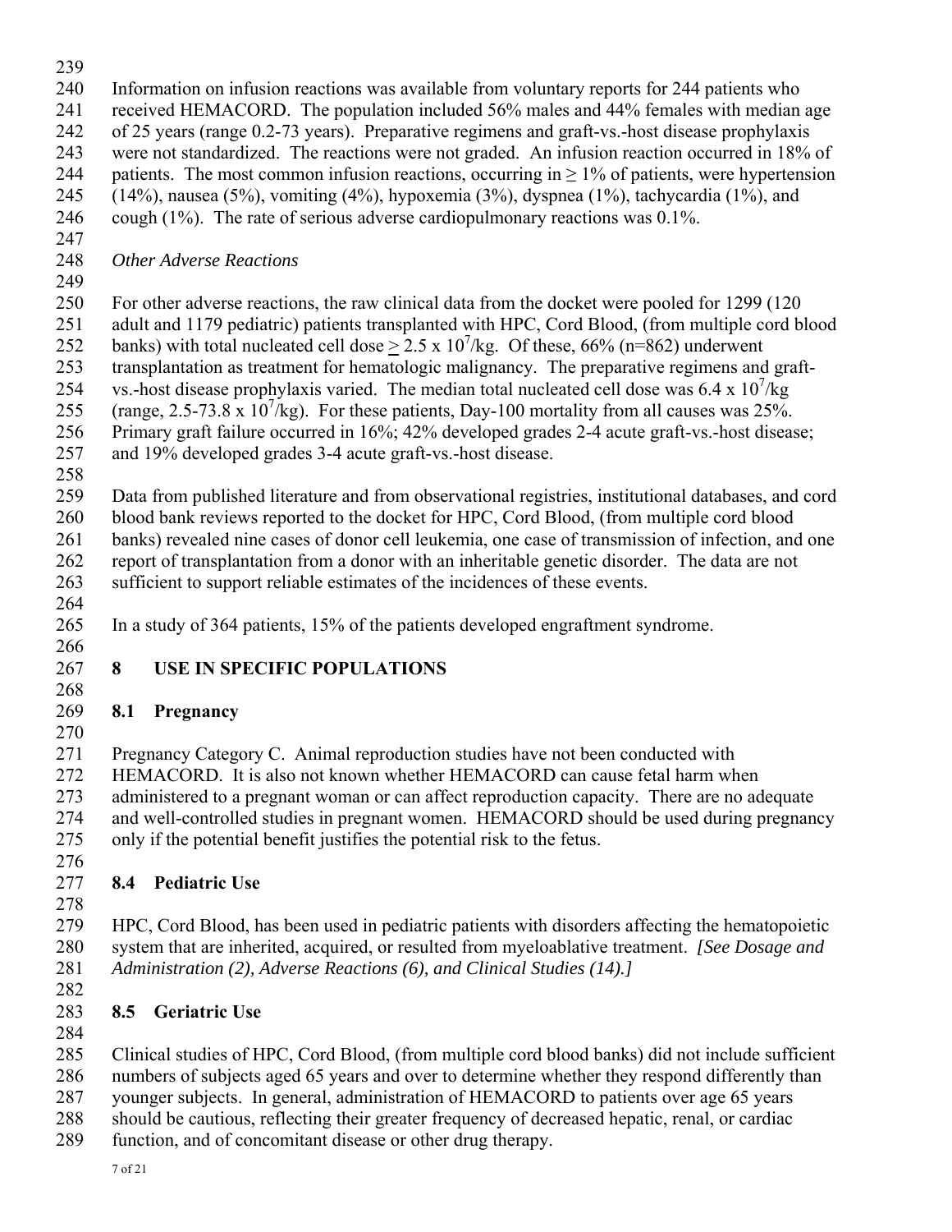- 240 Information on infusion reactions was available from voluntary reports for 244 patients who
- 241 received HEMACORD. The population included 56% males and 44% females with median age
- 242 of 25 years (range 0.2-73 years). Preparative regimens and graft-vs.-host disease prophylaxis
- 243 were not standardized. The reactions were not graded. An infusion reaction occurred in 18% of
- 244 patients. The most common infusion reactions, occurring in  $\geq$  1% of patients, were hypertension 245 (14%), nausea (5%), vomiting (4%), hypoxemia (3%), dyspnea (1%), tachycardia (1%), and
- 246 cough (1%). The rate of serious adverse cardiopulmonary reactions was 0.1%.
- 247

248 *Other Adverse Reactions* 

249

250 For other adverse reactions, the raw clinical data from the docket were pooled for 1299 (120

- 251 adult and 1179 pediatric) patients transplanted with HPC, Cord Blood, (from multiple cord blood 252 banks) with total nucleated cell dose  $\geq 2.5 \times 10^7$ /kg. Of these, 66% (n=862) underwent
- 253 transplantation as treatment for hematologic malignancy. The preparative regimens and graft-
- 254 vs.-host disease prophylaxis varied. The median total nucleated cell dose was  $6.4 \times 10^{7}/kg$
- 255 (range, 2.5-73.8 x  $10^7$ /kg). For these patients, Day-100 mortality from all causes was 25%.
- 256 Primary graft failure occurred in 16%; 42% developed grades 2-4 acute graft-vs.-host disease;
- 257 and 19% developed grades 3-4 acute graft-vs.-host disease.
- 258

259 Data from published literature and from observational registries, institutional databases, and cord 260 blood bank reviews reported to the docket for HPC, Cord Blood, (from multiple cord blood 261 banks) revealed nine cases of donor cell leukemia, one case of transmission of infection, and one 262 report of transplantation from a donor with an inheritable genetic disorder. The data are not

- 263 sufficient to support reliable estimates of the incidences of these events.
- 264

265 In a study of 364 patients, 15% of the patients developed engraftment syndrome. 266

### 267 **8 USE IN SPECIFIC POPULATIONS**  268

# 269 **8.1 Pregnancy**

 270 271 Pregnancy Category C. Animal reproduction studies have not been conducted with 272 HEMACORD. It is also not known whether HEMACORD can cause fetal harm when 273 administered to a pregnant woman or can affect reproduction capacity. There are no adequate 274 and well-controlled studies in pregnant women. HEMACORD should be used during pregnancy 275 only if the potential benefit justifies the potential risk to the fetus.

276

# 277 **8.4 Pediatric Use**

278

279 HPC, Cord Blood, has been used in pediatric patients with disorders affecting the hematopoietic 280 system that are inherited, acquired, or resulted from myeloablative treatment. *[See Dosage and*  281 *Administration (2), Adverse Reactions (6), and Clinical Studies (14).]*

282

# 283 **8.5 Geriatric Use**

284

285 Clinical studies of HPC, Cord Blood, (from multiple cord blood banks) did not include sufficient 286 numbers of subjects aged 65 years and over to determine whether they respond differently than 287 younger subjects. In general, administration of HEMACORD to patients over age 65 years

288 should be cautious, reflecting their greater frequency of decreased hepatic, renal, or cardiac

289 function, and of concomitant disease or other drug therapy.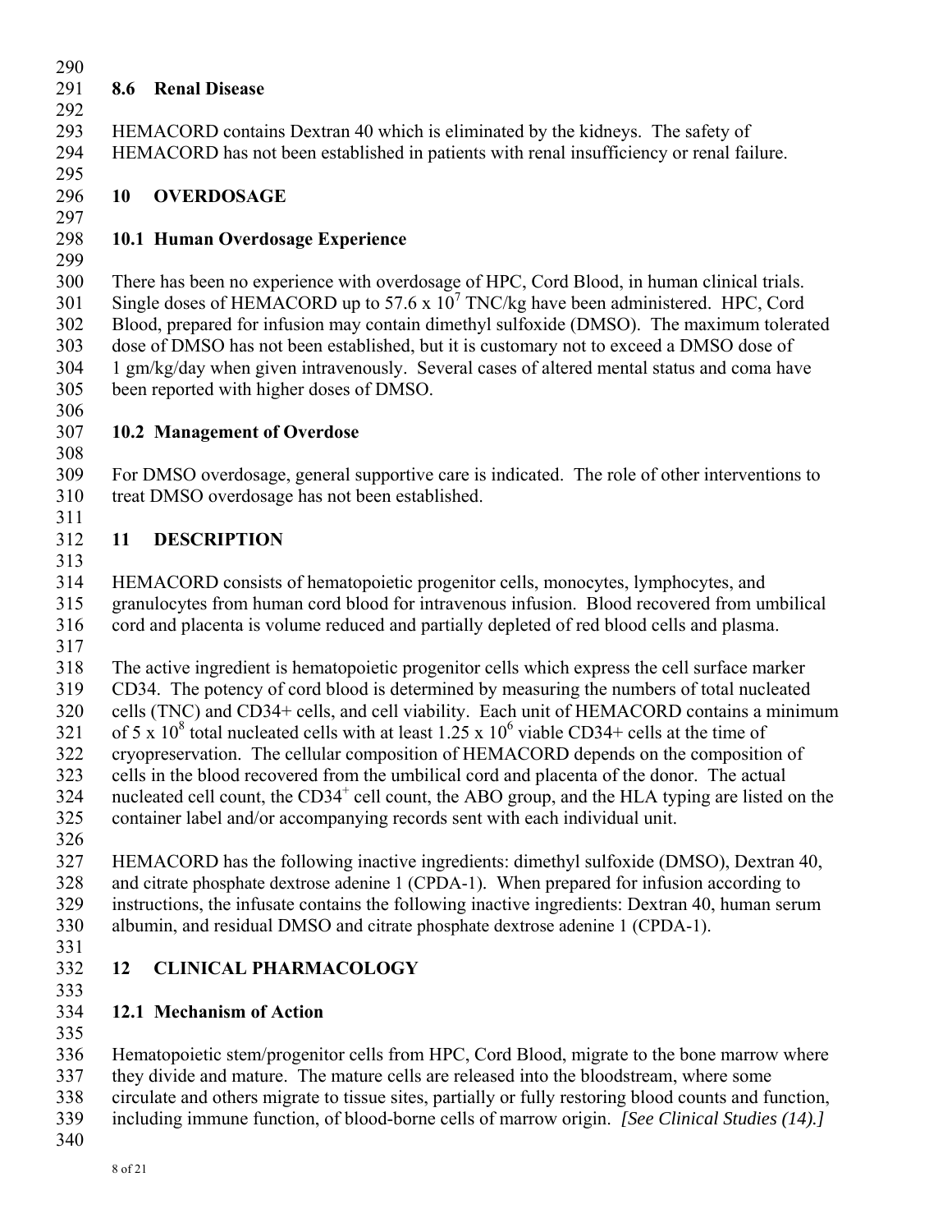# 291 **8.6 Renal Disease**

 292 293 HEMACORD contains Dextran 40 which is eliminated by the kidneys. The safety of 294 HEMACORD has not been established in patients with renal insufficiency or renal failure.

295

### 296 **10 OVERDOSAGE**  297

## 298 **10.1 Human Overdosage Experience**

299

300 There has been no experience with overdosage of HPC, Cord Blood, in human clinical trials. 301 Single doses of HEMACORD up to 57.6 x  $10^7$  TNC/kg have been administered. HPC, Cord 302 Blood, prepared for infusion may contain dimethyl sulfoxide (DMSO). The maximum tolerated 303 dose of DMSO has not been established, but it is customary not to exceed a DMSO dose of 304 1 gm/kg/day when given intravenously. Several cases of altered mental status and coma have 305 been reported with higher doses of DMSO.

306

311

#### 307 **10.2 Management of Overdose**  308

309 For DMSO overdosage, general supportive care is indicated. The role of other interventions to 310 treat DMSO overdosage has not been established.

# 312 **11 DESCRIPTION**

 313 314 HEMACORD consists of hematopoietic progenitor cells, monocytes, lymphocytes, and

315 granulocytes from human cord blood for intravenous infusion. Blood recovered from umbilical 316 cord and placenta is volume reduced and partially depleted of red blood cells and plasma. 317

318 The active ingredient is hematopoietic progenitor cells which express the cell surface marker 319 CD34. The potency of cord blood is determined by measuring the numbers of total nucleated 320 cells (TNC) and CD34+ cells, and cell viability. Each unit of HEMACORD contains a minimum 321 of 5 x 10<sup>8</sup> total nucleated cells with at least 1.25 x 10<sup>6</sup> viable CD34+ cells at the time of 322 cryopreservation. The cellular composition of HEMACORD depends on the composition of 323 cells in the blood recovered from the umbilical cord and placenta of the donor. The actual 324 nucleated cell count, the  $CD34^+$  cell count, the ABO group, and the HLA typing are listed on the 325 container label and/or accompanying records sent with each individual unit.

326

327 HEMACORD has the following inactive ingredients: dimethyl sulfoxide (DMSO), Dextran 40, 328 and citrate phosphate dextrose adenine 1 (CPDA-1). When prepared for infusion according to 329 instructions, the infusate contains the following inactive ingredients: Dextran 40, human serum 330 albumin, and residual DMSO and citrate phosphate dextrose adenine 1 (CPDA-1).

331

# 332 **12 CLINICAL PHARMACOLOGY**

333

# 334 **12.1 Mechanism of Action**

335

336 Hematopoietic stem/progenitor cells from HPC, Cord Blood, migrate to the bone marrow where

337 they divide and mature. The mature cells are released into the bloodstream, where some

- 338 circulate and others migrate to tissue sites, partially or fully restoring blood counts and function,
- 339 including immune function, of blood-borne cells of marrow origin. *[See Clinical Studies (14).]*
- 340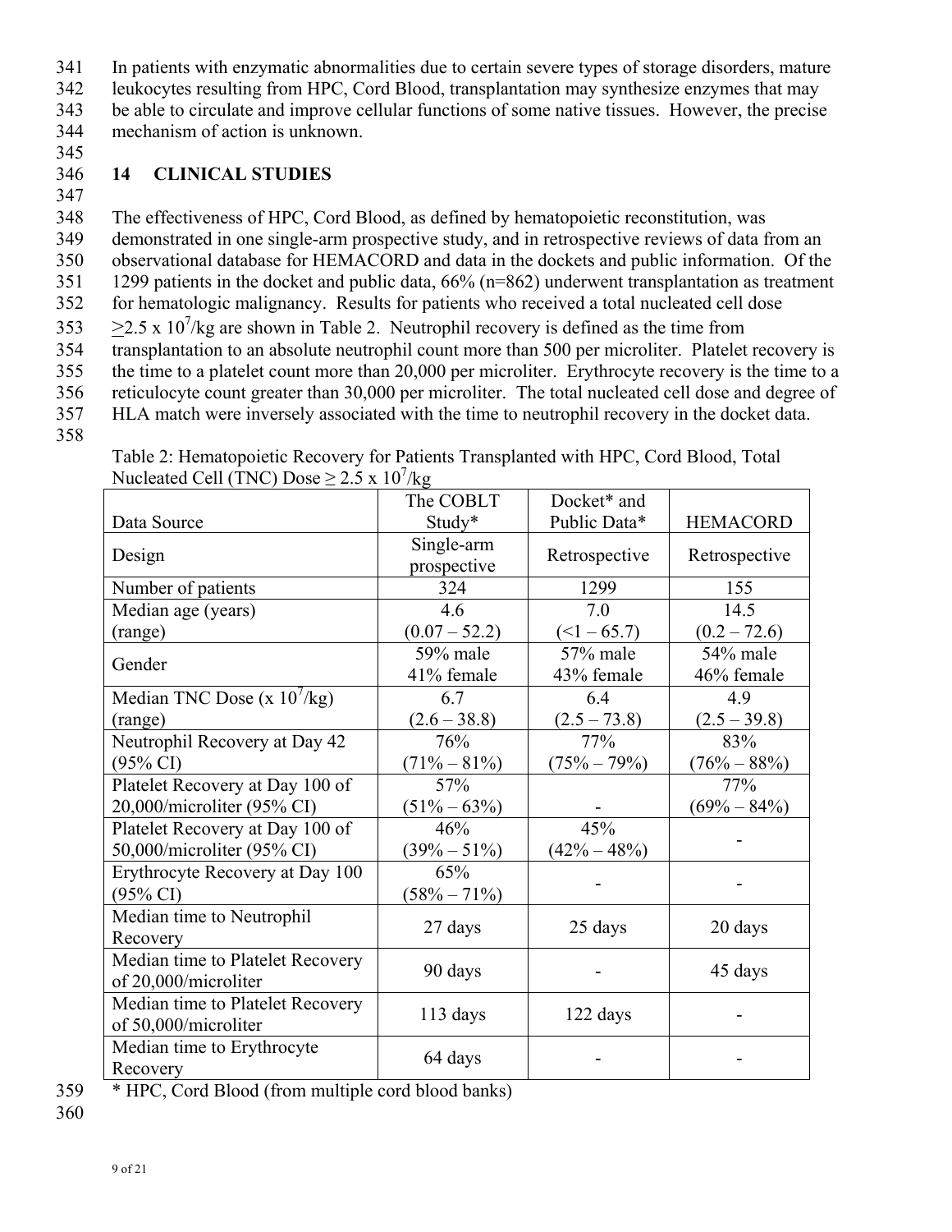341 In patients with enzymatic abnormalities due to certain severe types of storage disorders, mature

342 leukocytes resulting from HPC, Cord Blood, transplantation may synthesize enzymes that may

343 be able to circulate and improve cellular functions of some native tissues. However, the precise 344 mechanism of action is unknown.

345

### 346 **14 CLINICAL STUDIES**

347

348 The effectiveness of HPC, Cord Blood, as defined by hematopoietic reconstitution, was 349 demonstrated in one single-arm prospective study, and in retrospective reviews of data from an 350 observational database for HEMACORD and data in the dockets and public information. Of the 351 1299 patients in the docket and public data, 66% (n=862) underwent transplantation as treatment 352 for hematologic malignancy. Results for patients who received a total nucleated cell dose  $353 \ge 2.5 \times 10^7$ /kg are shown in Table 2. Neutrophil recovery is defined as the time from 354 transplantation to an absolute neutrophil count more than 500 per microliter. Platelet recovery is 355 the time to a platelet count more than 20,000 per microliter. Erythrocyte recovery is the time to a 356 reticulocyte count greater than 30,000 per microliter. The total nucleated cell dose and degree of 357 HLA match were inversely associated with the time to neutrophil recovery in the docket data.

358

Table 2: Hematopoietic Recovery for Patients Transplanted with HPC, Cord Blood, Total Nucleated Cell (TNC) Dose  $\geq 2.5 \times 10^7$ /kg

|                                                          | The COBLT                 | Docket* and            |                        |
|----------------------------------------------------------|---------------------------|------------------------|------------------------|
| Data Source                                              | Study*                    | Public Data*           | <b>HEMACORD</b>        |
| Design                                                   | Single-arm<br>prospective | Retrospective          | Retrospective          |
| Number of patients                                       | 324                       | 1299                   | 155                    |
| Median age (years)                                       | 4.6                       | 7.0                    | 14.5                   |
| (range)                                                  | $(0.07 - 52.2)$           | $(<1 - 65.7)$          | $(0.2 - 72.6)$         |
| Gender                                                   | 59% male<br>41% female    | 57% male<br>43% female | 54% male<br>46% female |
| Median TNC Dose (x $10^7$ /kg)                           | 6.7                       | 6.4                    | 4.9                    |
| (range)                                                  | $(2.6 - 38.8)$            | $(2.5 - 73.8)$         | $(2.5 - 39.8)$         |
| Neutrophil Recovery at Day 42                            | 76%                       | 77%                    | 83%                    |
| $(95\% \text{ CI})$                                      | $(71\% - 81\%)$           | $(75\% - 79\%)$        | $(76\% - 88\%)$        |
| Platelet Recovery at Day 100 of                          | 57%                       |                        | 77%                    |
| 20,000/microliter (95% CI)                               | $(51\% - 63\%)$           |                        | $(69\% - 84\%)$        |
| Platelet Recovery at Day 100 of                          | 46%                       | 45%                    |                        |
| 50,000/microliter (95% CI)                               | $(39\% - 51\%)$           | $(42\% - 48\%)$        |                        |
| Erythrocyte Recovery at Day 100<br>$(95\% \text{ CI})$   | 65%<br>$(58\% - 71\%)$    |                        |                        |
| Median time to Neutrophil<br>Recovery                    | 27 days                   | 25 days                | 20 days                |
| Median time to Platelet Recovery<br>of 20,000/microliter | 90 days                   |                        | 45 days                |
| Median time to Platelet Recovery<br>of 50,000/microliter | 113 days                  | 122 days               |                        |
| Median time to Erythrocyte<br>Recovery                   | 64 days                   |                        |                        |

359 \* HPC, Cord Blood (from multiple cord blood banks)

360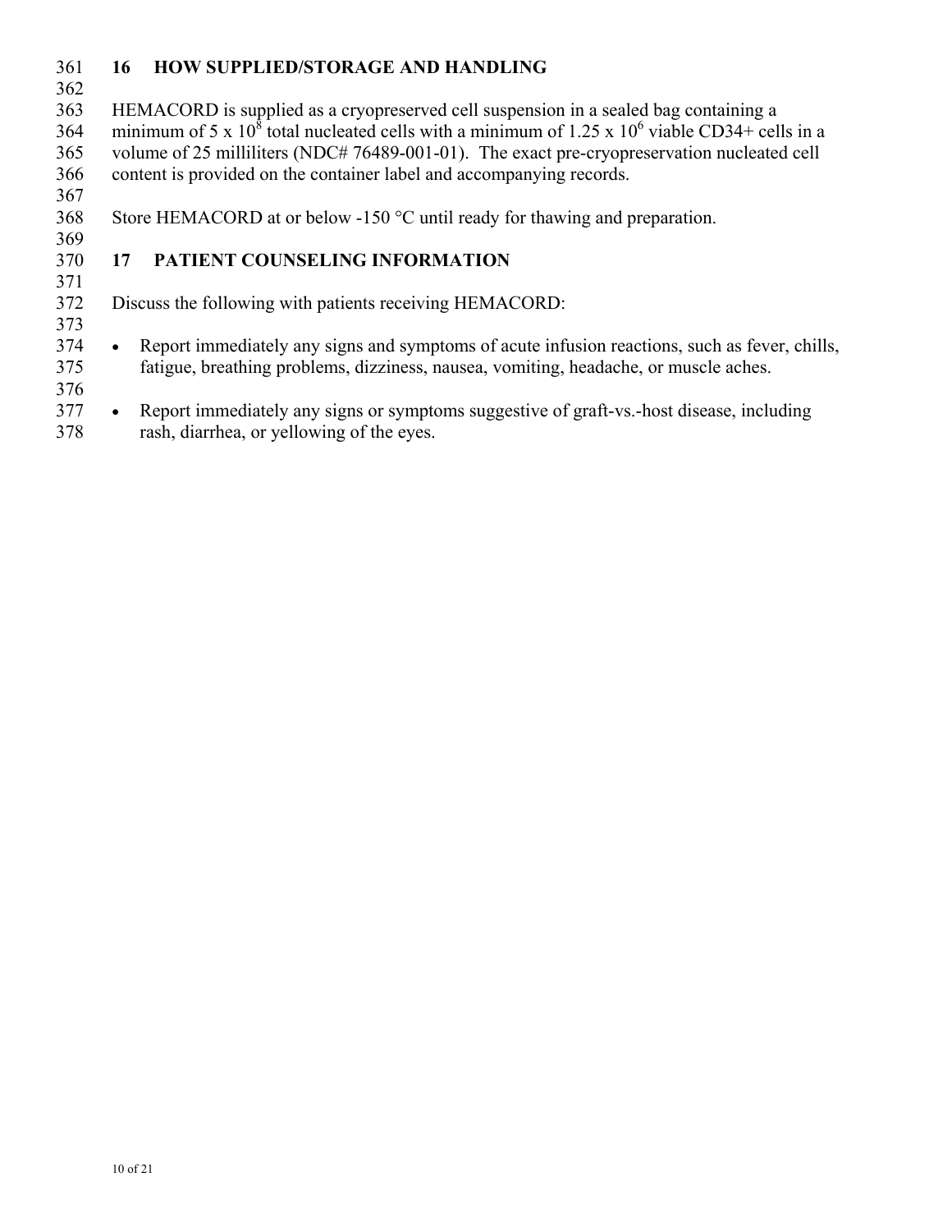# 361 **16 HOW SUPPLIED/STORAGE AND HANDLING**

362

369

371

373

363 HEMACORD is supplied as a cryopreserved cell suspension in a sealed bag containing a 364 minimum of 5 x 10<sup>8</sup> total nucleated cells with a minimum of 1.25 x 10<sup>6</sup> viable CD34+ cells in a 365 volume of 25 milliliters (NDC# 76489-001-01). The exact pre-cryopreservation nucleated cell 366 content is provided on the container label and accompanying records. 367

368 Store HEMACORD at or below -150 °C until ready for thawing and preparation.

## 370 **17 PATIENT COUNSELING INFORMATION**

372 Discuss the following with patients receiving HEMACORD:

374 Report immediately any signs and symptoms of acute infusion reactions, such as fever, chills, 375 fatigue, breathing problems, dizziness, nausea, vomiting, headache, or muscle aches.

376

377 Report immediately any signs or symptoms suggestive of graft-vs.-host disease, including

378 rash, diarrhea, or yellowing of the eyes.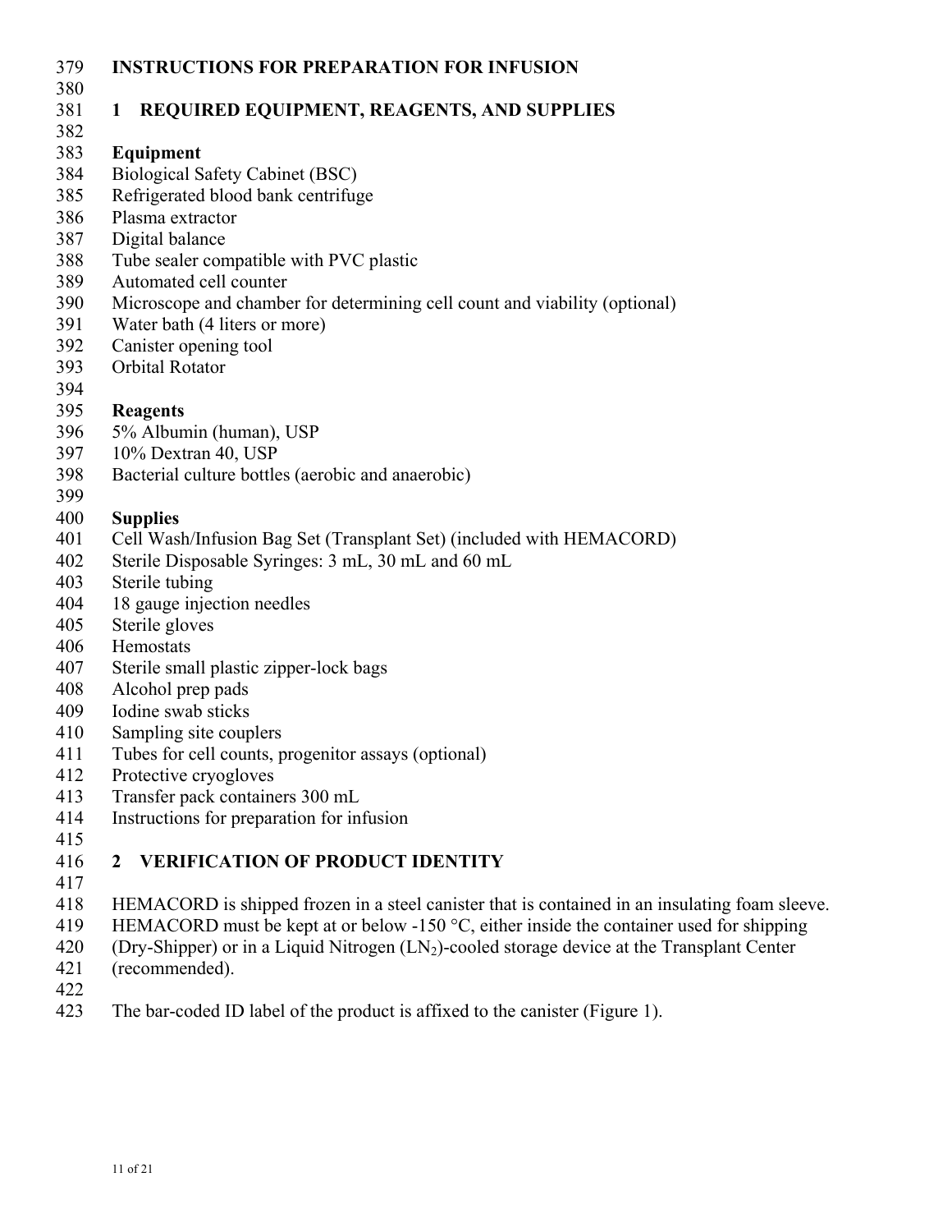- 379 **INSTRUCTIONS FOR PREPARATION FOR INFUSION**
- 380

## 381 **1 REQUIRED EQUIPMENT, REAGENTS, AND SUPPLIES**

382

# 383 **Equipment**

- 384 Biological Safety Cabinet (BSC)
- 385 Refrigerated blood bank centrifuge
- 386 Plasma extractor
- 387 Digital balance
- 388 Tube sealer compatible with PVC plastic
- 389 Automated cell counter
- 390 Microscope and chamber for determining cell count and viability (optional)
- 391 Water bath (4 liters or more)
- 392 Canister opening tool
- 393 Orbital Rotator
- 394
- 395 **Reagents**
- 396 5% Albumin (human), USP
- 397 10% Dextran 40, USP
- 398 Bacterial culture bottles (aerobic and anaerobic)
- 399

## 400 **Supplies**

- 401 Cell Wash/Infusion Bag Set (Transplant Set) (included with HEMACORD)
- 402 Sterile Disposable Syringes: 3 mL, 30 mL and 60 mL
- 403 Sterile tubing
- 404 18 gauge injection needles
- 405 Sterile gloves
- 406 Hemostats
- 407 Sterile small plastic zipper-lock bags
- 408 Alcohol prep pads
- 409 Iodine swab sticks
- 410 Sampling site couplers
- 411 Tubes for cell counts, progenitor assays (optional)
- 412 Protective cryogloves
- 413 Transfer pack containers 300 mL
- 414 Instructions for preparation for infusion
- 415

#### 416 **2 VERIFICATION OF PRODUCT IDENTITY**  417

- 418 HEMACORD is shipped frozen in a steel canister that is contained in an insulating foam sleeve.
- 419 HEMACORD must be kept at or below -150 °C, either inside the container used for shipping
- 420 (Dry-Shipper) or in a Liquid Nitrogen  $(LN_2)$ -cooled storage device at the Transplant Center (recommended).
- (recommended).
- 422
- 423 The bar-coded ID label of the product is affixed to the canister (Figure 1).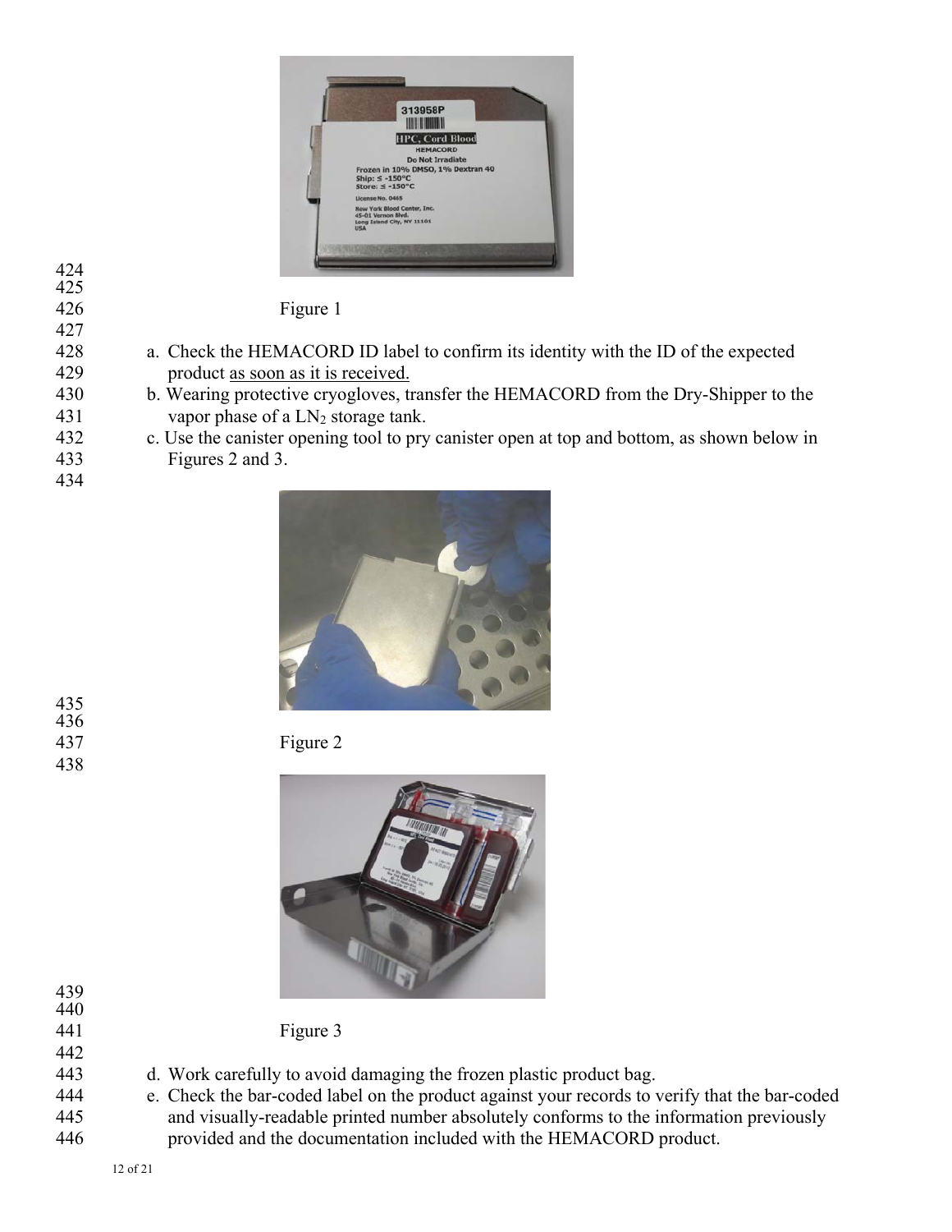

424  $425$ 

426 Figure 1

- 428 a. Check the HEMACORD ID label to confirm its identity with the ID of the expected 429 product as soon as it is received.
- 430 b. Wearing protective cryogloves, transfer the HEMACORD from the Dry-Shipper to the 431 vapor phase of a  $LN_2$  storage tank.
- 432 c. Use the canister opening tool to pry canister open at top and bottom, as shown below in
- 433 Figures 2 and 3. 434







442

435 436

438

441 Figure 3

- 443 d. Work carefully to avoid damaging the frozen plastic product bag.
- 444 e. Check the bar-coded label on the product against your records to verify that the bar-coded 445 and visually-readable printed number absolutely conforms to the information previously 446 provided and the documentation included with the HEMACORD product.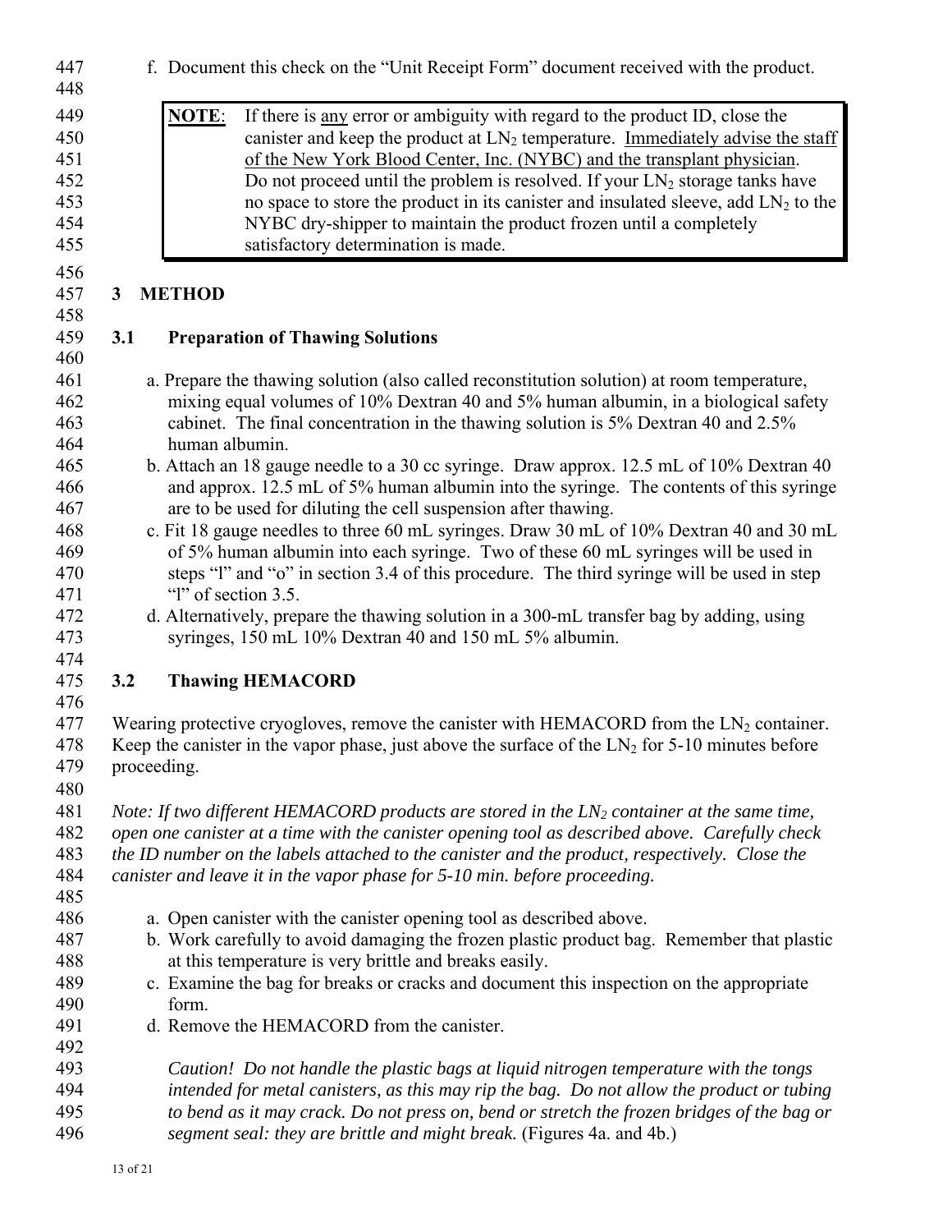| 447<br>448                                    | f. Document this check on the "Unit Receipt Form" document received with the product.                                                                                                                                                                                                                                                                                                                                                                                                                                                                |
|-----------------------------------------------|------------------------------------------------------------------------------------------------------------------------------------------------------------------------------------------------------------------------------------------------------------------------------------------------------------------------------------------------------------------------------------------------------------------------------------------------------------------------------------------------------------------------------------------------------|
| 449<br>450<br>451<br>452<br>453<br>454<br>455 | NOTE:<br>If there is <u>any</u> error or ambiguity with regard to the product ID, close the<br>canister and keep the product at $LN_2$ temperature. Immediately advise the staff<br>of the New York Blood Center, Inc. (NYBC) and the transplant physician.<br>Do not proceed until the problem is resolved. If your $LN_2$ storage tanks have<br>no space to store the product in its canister and insulated sleeve, add $LN_2$ to the<br>NYBC dry-shipper to maintain the product frozen until a completely<br>satisfactory determination is made. |
| 456<br>457                                    | <b>METHOD</b><br>3                                                                                                                                                                                                                                                                                                                                                                                                                                                                                                                                   |
| 458<br>459                                    | 3.1<br><b>Preparation of Thawing Solutions</b>                                                                                                                                                                                                                                                                                                                                                                                                                                                                                                       |
| 460<br>461<br>462<br>463<br>464               | a. Prepare the thawing solution (also called reconstitution solution) at room temperature,<br>mixing equal volumes of 10% Dextran 40 and 5% human albumin, in a biological safety<br>cabinet. The final concentration in the thawing solution is 5% Dextran 40 and 2.5%<br>human albumin.                                                                                                                                                                                                                                                            |
| 465<br>466<br>467                             | b. Attach an 18 gauge needle to a 30 cc syringe. Draw approx. 12.5 mL of 10% Dextran 40<br>and approx. 12.5 mL of 5% human albumin into the syringe. The contents of this syringe<br>are to be used for diluting the cell suspension after thawing.                                                                                                                                                                                                                                                                                                  |
| 468<br>469<br>470<br>471                      | c. Fit 18 gauge needles to three 60 mL syringes. Draw 30 mL of 10% Dextran 40 and 30 mL<br>of 5% human albumin into each syringe. Two of these 60 mL syringes will be used in<br>steps "I" and "o" in section 3.4 of this procedure. The third syringe will be used in step<br>"l" of section 3.5.                                                                                                                                                                                                                                                   |
| 472<br>473<br>474                             | d. Alternatively, prepare the thawing solution in a 300-mL transfer bag by adding, using<br>syringes, 150 mL 10% Dextran 40 and 150 mL 5% albumin.                                                                                                                                                                                                                                                                                                                                                                                                   |
| 475<br>476                                    | 3.2<br><b>Thawing HEMACORD</b>                                                                                                                                                                                                                                                                                                                                                                                                                                                                                                                       |
| 477<br>478<br>479<br>480                      | Wearing protective cryogloves, remove the canister with HEMACORD from the $LN_2$ container.<br>Keep the canister in the vapor phase, just above the surface of the $LN_2$ for 5-10 minutes before<br>proceeding.                                                                                                                                                                                                                                                                                                                                     |
| 481<br>482<br>483<br>484<br>485               | Note: If two different HEMACORD products are stored in the $LN_2$ container at the same time,<br>open one canister at a time with the canister opening tool as described above. Carefully check<br>the ID number on the labels attached to the canister and the product, respectively. Close the<br>canister and leave it in the vapor phase for 5-10 min. before proceeding.                                                                                                                                                                        |
| 486<br>487<br>488<br>489<br>490<br>491        | a. Open canister with the canister opening tool as described above.<br>b. Work carefully to avoid damaging the frozen plastic product bag. Remember that plastic<br>at this temperature is very brittle and breaks easily.<br>c. Examine the bag for breaks or cracks and document this inspection on the appropriate<br>form.<br>d. Remove the HEMACORD from the canister.                                                                                                                                                                          |
| 492<br>493<br>494<br>495<br>496               | Caution! Do not handle the plastic bags at liquid nitrogen temperature with the tongs<br>intended for metal canisters, as this may rip the bag. Do not allow the product or tubing<br>to bend as it may crack. Do not press on, bend or stretch the frozen bridges of the bag or<br>segment seal: they are brittle and might break. (Figures 4a. and 4b.)                                                                                                                                                                                            |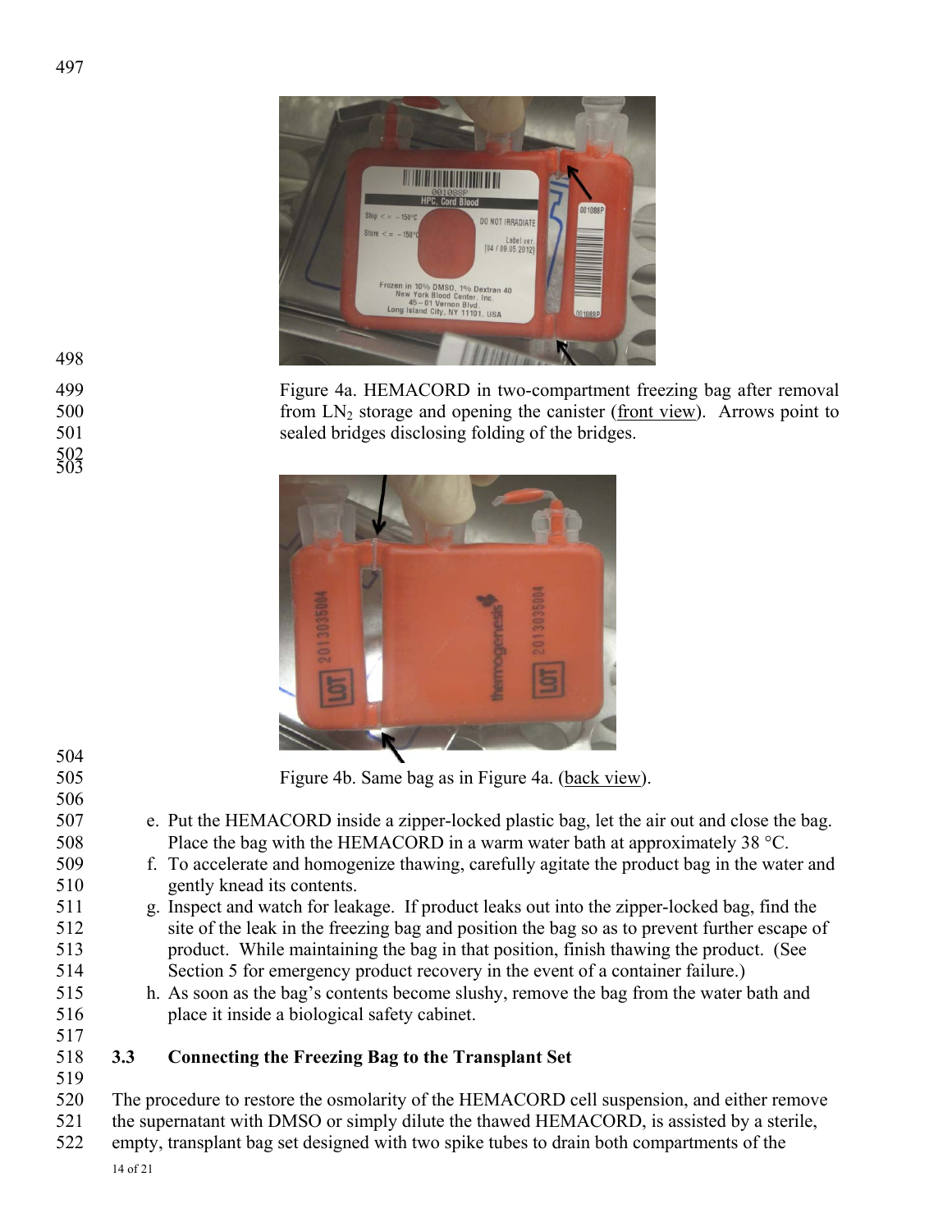

499 Figure 4a. HEMACORD in two-compartment freezing bag after removal from LN<sub>2</sub> storage and opening the canister (front view). Arrows point to from  $LN_2$  storage and opening the canister (front view). Arrows point to 501 sealed bridges disclosing folding of the bridges.



| 504 |     |                                                                                              |
|-----|-----|----------------------------------------------------------------------------------------------|
| 505 |     | Figure 4b. Same bag as in Figure 4a. (back view).                                            |
| 506 |     |                                                                                              |
| 507 |     | e. Put the HEMACORD inside a zipper-locked plastic bag, let the air out and close the bag.   |
| 508 |     | Place the bag with the HEMACORD in a warm water bath at approximately 38 $^{\circ}$ C.       |
| 509 |     | f. To accelerate and homogenize thawing, carefully agitate the product bag in the water and  |
| 510 |     | gently knead its contents.                                                                   |
| 511 |     | g. Inspect and watch for leakage. If product leaks out into the zipper-locked bag, find the  |
| 512 |     | site of the leak in the freezing bag and position the bag so as to prevent further escape of |
| 513 |     | product. While maintaining the bag in that position, finish thawing the product. (See        |
| 514 |     | Section 5 for emergency product recovery in the event of a container failure.)               |
| 515 |     | h. As soon as the bag's contents become slushy, remove the bag from the water bath and       |
| 516 |     | place it inside a biological safety cabinet.                                                 |
| 517 |     |                                                                                              |
| 518 | 3.3 | <b>Connecting the Freezing Bag to the Transplant Set</b>                                     |
| 519 |     |                                                                                              |
| 520 |     | The procedure to restore the osmolarity of the HEMACORD cell suspension, and either remove   |
|     |     |                                                                                              |

- 521 the supernatant with DMSO or simply dilute the thawed HEMACORD, is assisted by a sterile,
- 522 empty, transplant bag set designed with two spike tubes to drain both compartments of the
	- 14 of 21
- 498
- 502 503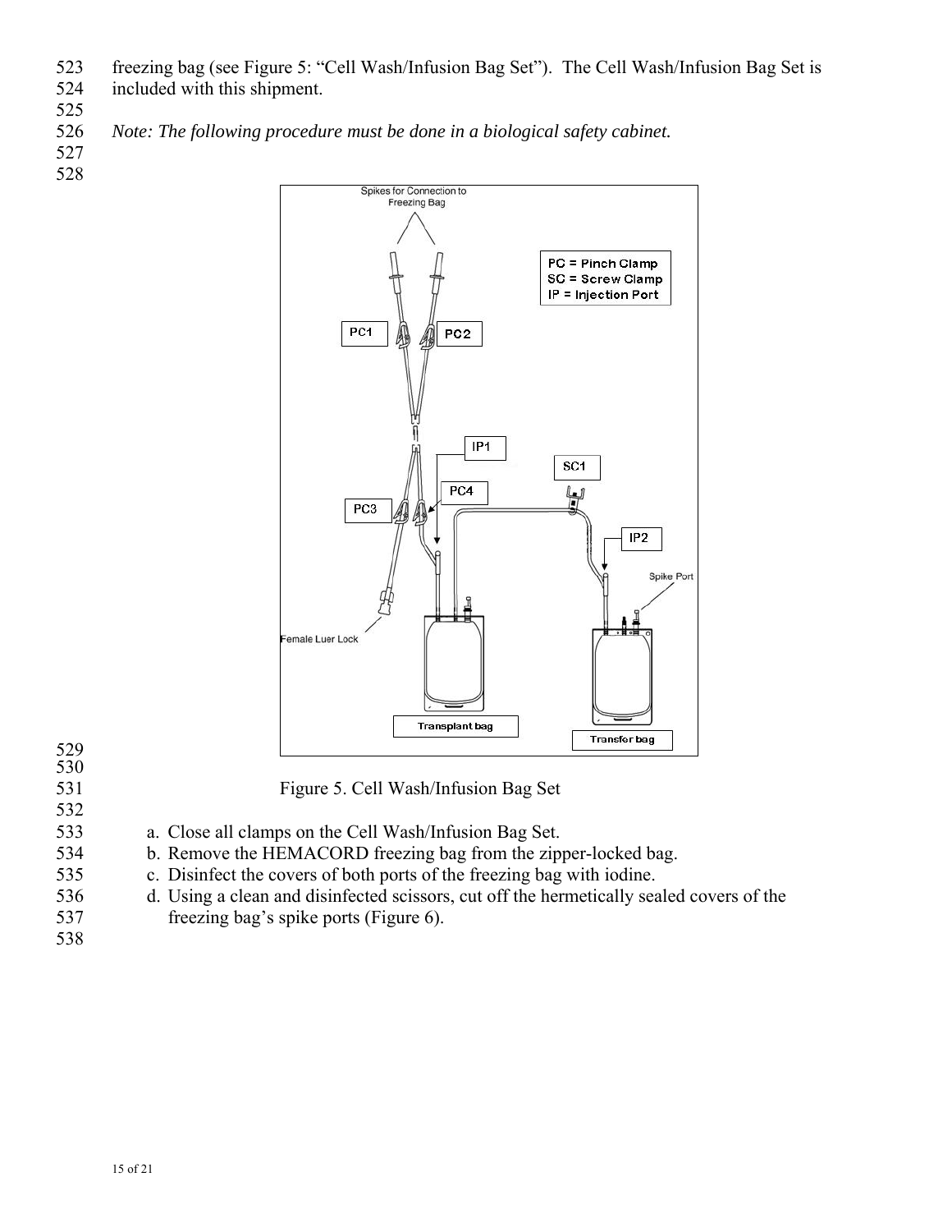- 523 freezing bag (see Figure 5: "Cell Wash/Infusion Bag Set"). The Cell Wash/Infusion Bag Set is 524 included with this shipment.
- 
- 525
- 526 *Note: The following procedure must be done in a biological safety cabinet.*
- 527 528



- 529 530
- 
- 532
- 531 Figure 5. Cell Wash/Infusion Bag Set
- 533 a. Close all clamps on the Cell Wash/Infusion Bag Set.
- 534 b. Remove the HEMACORD freezing bag from the zipper-locked bag.
- 535 c. Disinfect the covers of both ports of the freezing bag with iodine.
- 536 d. Using a clean and disinfected scissors, cut off the hermetically sealed covers of the
- 537 freezing bag's spike ports (Figure 6).
- 538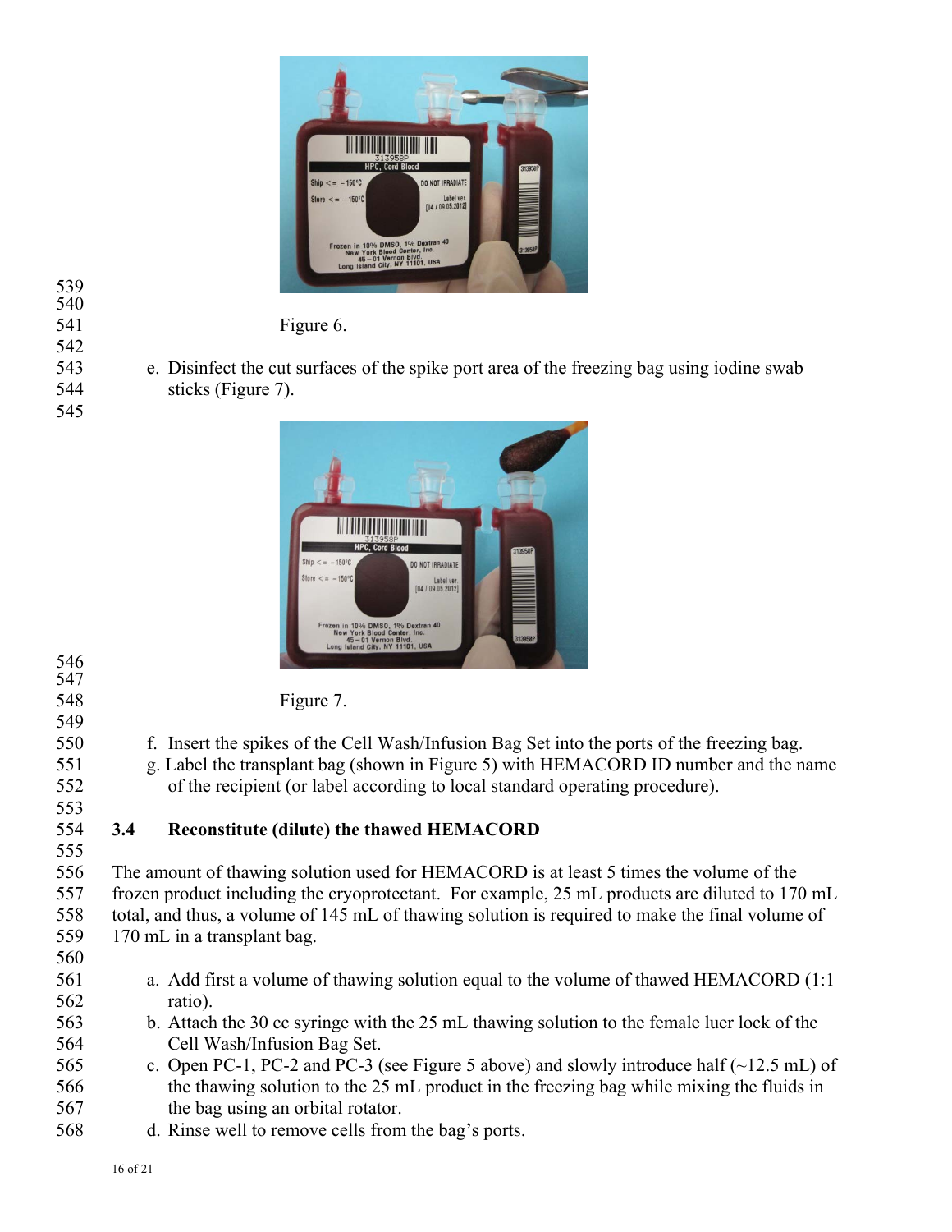

542

545

541 Figure 6.

543 e. Disinfect the cut surfaces of the spike port area of the freezing bag using iodine swab 544 sticks (Figure 7).



546 547

549

548 Figure 7.

- 550 f. Insert the spikes of the Cell Wash/Infusion Bag Set into the ports of the freezing bag.
- 551 g. Label the transplant bag (shown in Figure 5) with HEMACORD ID number and the name 552 of the recipient (or label according to local standard operating procedure).
- 553 555

# 554 **3.4 Reconstitute (dilute) the thawed HEMACORD**

556 The amount of thawing solution used for HEMACORD is at least 5 times the volume of the 557 frozen product including the cryoprotectant. For example, 25 mL products are diluted to 170 mL 558 total, and thus, a volume of 145 mL of thawing solution is required to make the final volume of 559 170 mL in a transplant bag.

- 560
- 561 a. Add first a volume of thawing solution equal to the volume of thawed HEMACORD (1:1 562 ratio).
- 563 b. Attach the 30 cc syringe with the 25 mL thawing solution to the female luer lock of the 564 Cell Wash/Infusion Bag Set.
- 565 c. Open PC-1, PC-2 and PC-3 (see Figure 5 above) and slowly introduce half (~12.5 mL) of 566 the thawing solution to the 25 mL product in the freezing bag while mixing the fluids in 567 the bag using an orbital rotator.
- 568 d. Rinse well to remove cells from the bag's ports.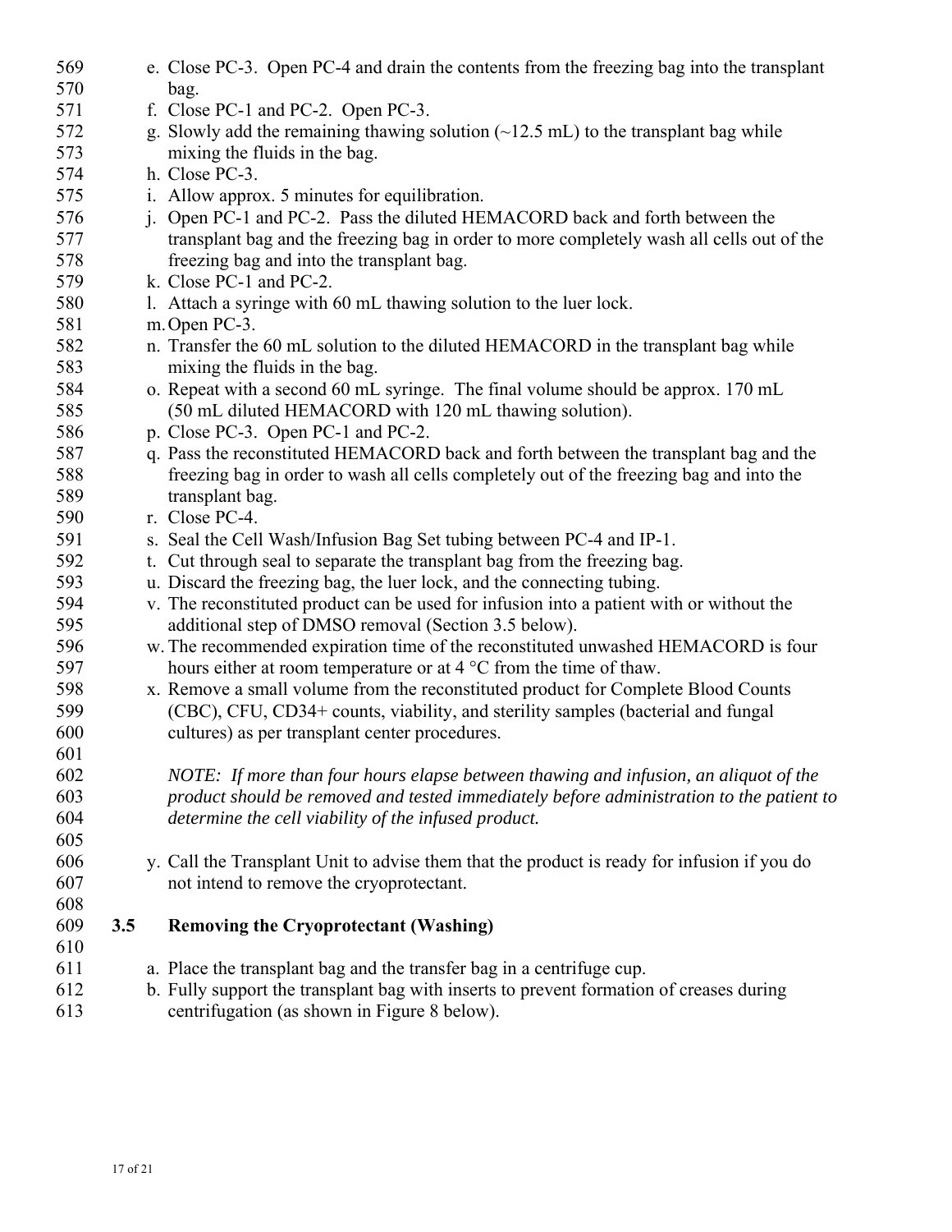| 569 |     | e. Close PC-3. Open PC-4 and drain the contents from the freezing bag into the transplant         |
|-----|-----|---------------------------------------------------------------------------------------------------|
| 570 |     | bag.                                                                                              |
| 571 |     | f. Close PC-1 and PC-2. Open PC-3.                                                                |
| 572 |     | g. Slowly add the remaining thawing solution $(\sim 12.5 \text{ mL})$ to the transplant bag while |
| 573 |     | mixing the fluids in the bag.                                                                     |
| 574 |     | h. Close PC-3.                                                                                    |
| 575 |     | i. Allow approx. 5 minutes for equilibration.                                                     |
| 576 |     | j. Open PC-1 and PC-2. Pass the diluted HEMACORD back and forth between the                       |
| 577 |     | transplant bag and the freezing bag in order to more completely wash all cells out of the         |
| 578 |     | freezing bag and into the transplant bag.                                                         |
| 579 |     | k. Close PC-1 and PC-2.                                                                           |
| 580 |     | 1. Attach a syringe with 60 mL thawing solution to the luer lock.                                 |
| 581 |     | m. Open PC-3.                                                                                     |
| 582 |     | n. Transfer the 60 mL solution to the diluted HEMACORD in the transplant bag while                |
| 583 |     | mixing the fluids in the bag.                                                                     |
| 584 |     | o. Repeat with a second 60 mL syringe. The final volume should be approx. 170 mL                  |
| 585 |     | (50 mL diluted HEMACORD with 120 mL thawing solution).                                            |
| 586 |     | p. Close PC-3. Open PC-1 and PC-2.                                                                |
| 587 |     | q. Pass the reconstituted HEMACORD back and forth between the transplant bag and the              |
| 588 |     | freezing bag in order to wash all cells completely out of the freezing bag and into the           |
| 589 |     | transplant bag.                                                                                   |
| 590 |     | r. Close PC-4.                                                                                    |
| 591 |     | s. Seal the Cell Wash/Infusion Bag Set tubing between PC-4 and IP-1.                              |
| 592 |     | t. Cut through seal to separate the transplant bag from the freezing bag.                         |
| 593 |     | u. Discard the freezing bag, the luer lock, and the connecting tubing.                            |
| 594 |     | v. The reconstituted product can be used for infusion into a patient with or without the          |
| 595 |     | additional step of DMSO removal (Section 3.5 below).                                              |
| 596 |     | w. The recommended expiration time of the reconstituted unwashed HEMACORD is four                 |
| 597 |     | hours either at room temperature or at $4^{\circ}$ C from the time of thaw.                       |
| 598 |     | x. Remove a small volume from the reconstituted product for Complete Blood Counts                 |
| 599 |     | (CBC), CFU, CD34+ counts, viability, and sterility samples (bacterial and fungal                  |
| 600 |     | cultures) as per transplant center procedures.                                                    |
| 601 |     |                                                                                                   |
| 602 |     | NOTE: If more than four hours elapse between thawing and infusion, an aliquot of the              |
| 603 |     | product should be removed and tested immediately before administration to the patient to          |
| 604 |     | determine the cell viability of the infused product.                                              |
| 605 |     |                                                                                                   |
| 606 |     | y. Call the Transplant Unit to advise them that the product is ready for infusion if you do       |
| 607 |     | not intend to remove the cryoprotectant.                                                          |
| 608 |     |                                                                                                   |
| 609 | 3.5 | <b>Removing the Cryoprotectant (Washing)</b>                                                      |
| 610 |     |                                                                                                   |
| 611 |     | a. Place the transplant bag and the transfer bag in a centrifuge cup.                             |
| 612 |     | b. Fully support the transplant bag with inserts to prevent formation of creases during           |
| 613 |     | centrifugation (as shown in Figure 8 below).                                                      |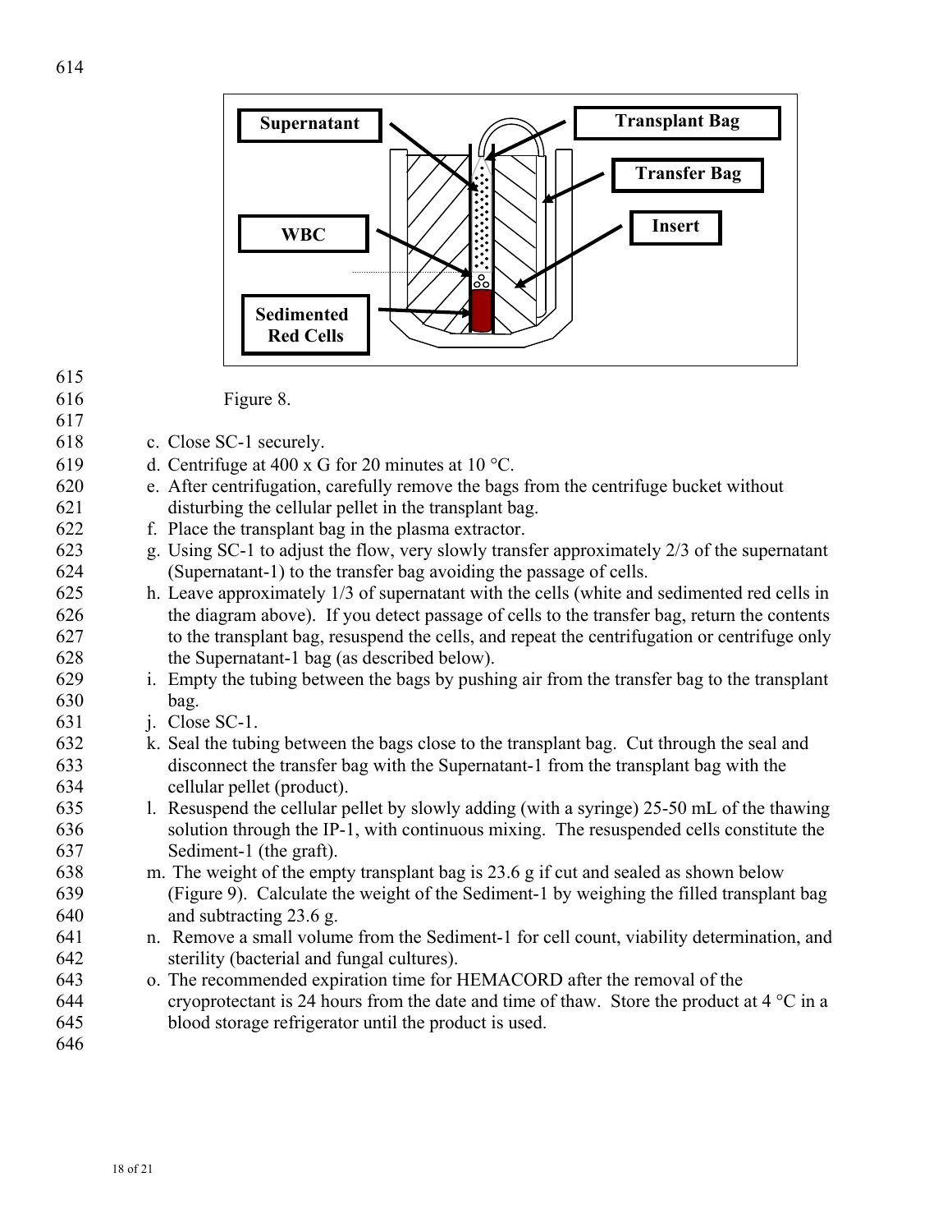

616 Figure 8.

617

- 618 c. Close SC-1 securely.
- 619 d. Centrifuge at 400 x G for 20 minutes at 10 °C.
- 620 e. After centrifugation, carefully remove the bags from the centrifuge bucket without 621 disturbing the cellular pellet in the transplant bag.
- 622 f. Place the transplant bag in the plasma extractor.
- 623 g. Using SC-1 to adjust the flow, very slowly transfer approximately 2/3 of the supernatant 624 (Supernatant-1) to the transfer bag avoiding the passage of cells.
- 625 h. Leave approximately 1/3 of supernatant with the cells (white and sedimented red cells in 626 the diagram above). If you detect passage of cells to the transfer bag, return the contents 627 to the transplant bag, resuspend the cells, and repeat the centrifugation or centrifuge only 628 the Supernatant-1 bag (as described below).
- 629 i. Empty the tubing between the bags by pushing air from the transfer bag to the transplant 630 bag.
- 631 j. Close SC-1.
- 632 k. Seal the tubing between the bags close to the transplant bag. Cut through the seal and 633 disconnect the transfer bag with the Supernatant-1 from the transplant bag with the 634 cellular pellet (product).
- 635 l. Resuspend the cellular pellet by slowly adding (with a syringe) 25-50 mL of the thawing 636 solution through the IP-1, with continuous mixing. The resuspended cells constitute the 637 Sediment-1 (the graft).
- 638 m. The weight of the empty transplant bag is 23.6 g if cut and sealed as shown below 639 (Figure 9). Calculate the weight of the Sediment-1 by weighing the filled transplant bag 640 and subtracting 23.6 g.
- 641 n. Remove a small volume from the Sediment-1 for cell count, viability determination, and 642 sterility (bacterial and fungal cultures).
- 643 o. The recommended expiration time for HEMACORD after the removal of the 644 cryoprotectant is 24 hours from the date and time of thaw. Store the product at  $4^{\circ}$ C in a 645 blood storage refrigerator until the product is used.
- 646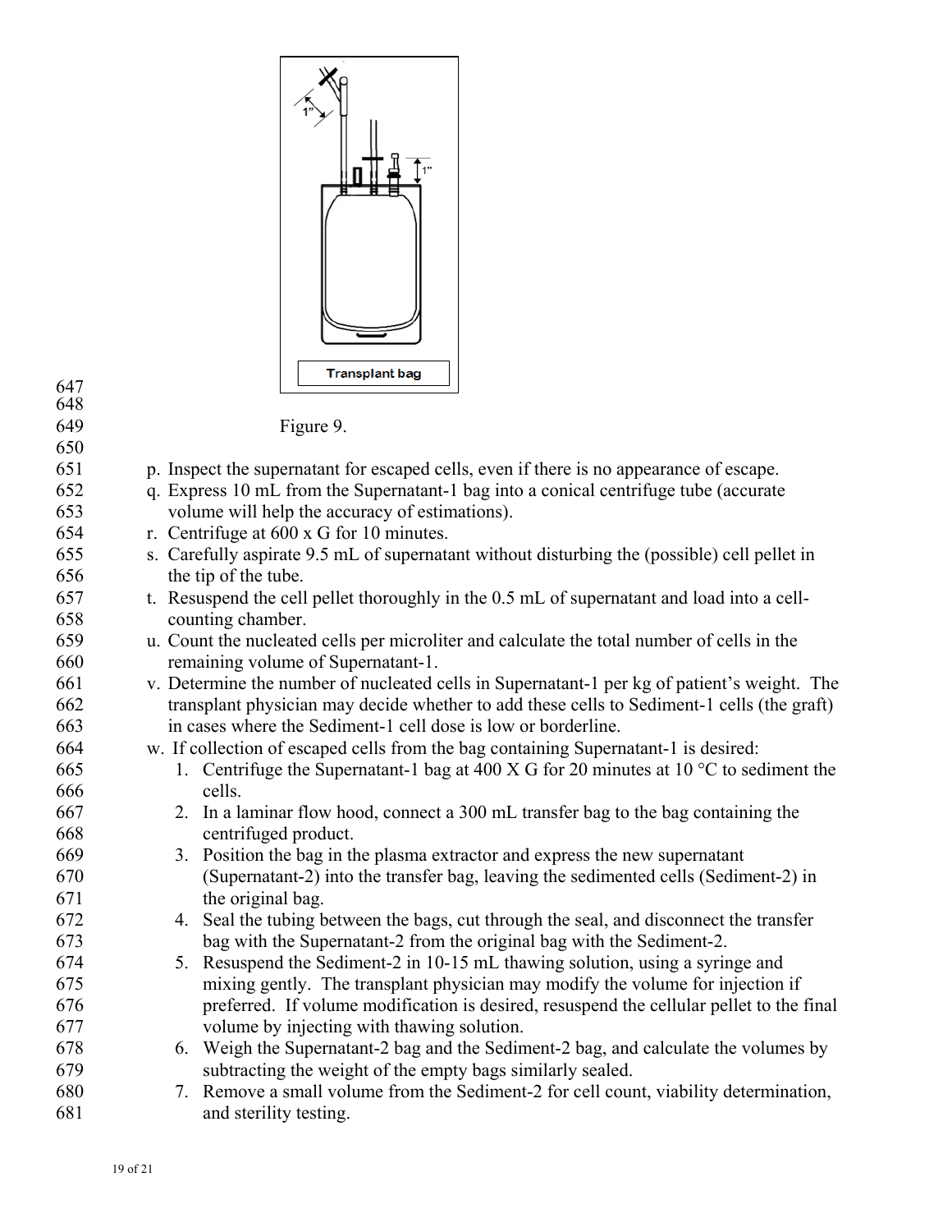| 1"<br>Ħ               |
|-----------------------|
| <b>Transplant bag</b> |

| 647 |
|-----|
| 648 |
| 649 |

Figure 9.

650 651 p. Inspect the supernatant for escaped cells, even if there is no appearance of escape. 652 q. Express 10 mL from the Supernatant-1 bag into a conical centrifuge tube (accurate 653 volume will help the accuracy of estimations). 654 r. Centrifuge at 600 x G for 10 minutes. 655 s. Carefully aspirate 9.5 mL of supernatant without disturbing the (possible) cell pellet in 656 the tip of the tube. 657 t. Resuspend the cell pellet thoroughly in the 0.5 mL of supernatant and load into a cell-658 counting chamber. 659 u. Count the nucleated cells per microliter and calculate the total number of cells in the 660 remaining volume of Supernatant-1. 661 v. Determine the number of nucleated cells in Supernatant-1 per kg of patient's weight. The 662 transplant physician may decide whether to add these cells to Sediment-1 cells (the graft) 663 in cases where the Sediment-1 cell dose is low or borderline. 664 w. If collection of escaped cells from the bag containing Supernatant-1 is desired: 665 1. Centrifuge the Supernatant-1 bag at 400 X G for 20 minutes at 10 °C to sediment the 666 cells. 667 2. In a laminar flow hood, connect a 300 mL transfer bag to the bag containing the 668 centrifuged product. 669 3. Position the bag in the plasma extractor and express the new supernatant 670 (Supernatant-2) into the transfer bag, leaving the sedimented cells (Sediment-2) in 671 the original bag. 672 4. Seal the tubing between the bags, cut through the seal, and disconnect the transfer 673 bag with the Supernatant-2 from the original bag with the Sediment-2. 674 5. Resuspend the Sediment-2 in 10-15 mL thawing solution, using a syringe and 675 mixing gently. The transplant physician may modify the volume for injection if 676 preferred. If volume modification is desired, resuspend the cellular pellet to the final 677 volume by injecting with thawing solution. 678 6. Weigh the Supernatant-2 bag and the Sediment-2 bag, and calculate the volumes by 679 subtracting the weight of the empty bags similarly sealed. 680 7. Remove a small volume from the Sediment-2 for cell count, viability determination, 681 and sterility testing.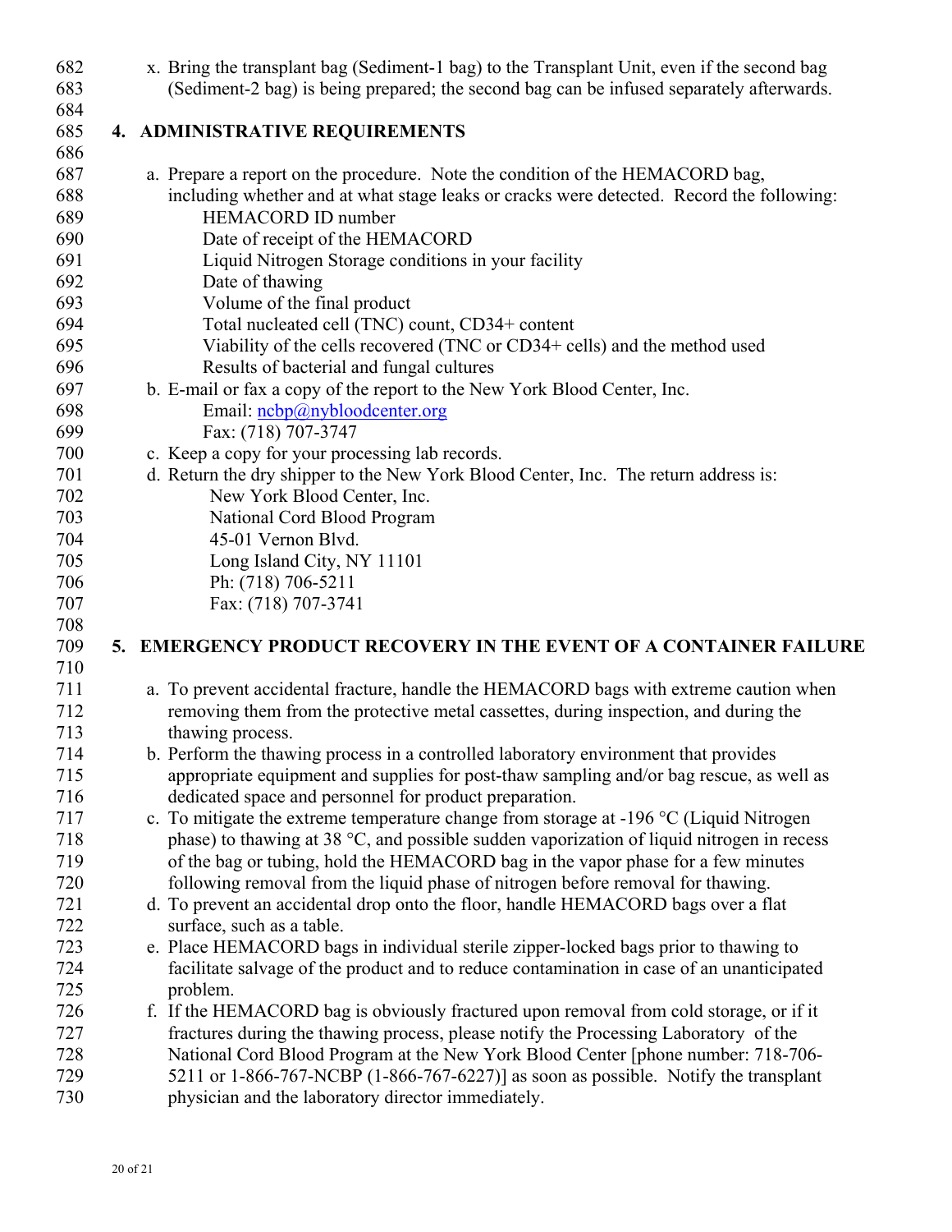| 682        |  | x. Bring the transplant bag (Sediment-1 bag) to the Transplant Unit, even if the second bag                    |
|------------|--|----------------------------------------------------------------------------------------------------------------|
| 683        |  | (Sediment-2 bag) is being prepared; the second bag can be infused separately afterwards.                       |
| 684        |  |                                                                                                                |
| 685        |  | 4. ADMINISTRATIVE REQUIREMENTS                                                                                 |
| 686        |  |                                                                                                                |
| 687        |  | a. Prepare a report on the procedure. Note the condition of the HEMACORD bag,                                  |
| 688        |  | including whether and at what stage leaks or cracks were detected. Record the following:                       |
| 689        |  | <b>HEMACORD ID number</b>                                                                                      |
| 690        |  | Date of receipt of the HEMACORD                                                                                |
| 691        |  | Liquid Nitrogen Storage conditions in your facility                                                            |
| 692        |  | Date of thawing                                                                                                |
| 693        |  | Volume of the final product                                                                                    |
| 694        |  | Total nucleated cell (TNC) count, CD34+ content                                                                |
| 695        |  | Viability of the cells recovered (TNC or CD34+ cells) and the method used                                      |
| 696        |  | Results of bacterial and fungal cultures                                                                       |
| 697        |  | b. E-mail or fax a copy of the report to the New York Blood Center, Inc.                                       |
| 698        |  | Email: ncbp@nybloodcenter.org                                                                                  |
| 699        |  | Fax: (718) 707-3747                                                                                            |
| 700        |  | c. Keep a copy for your processing lab records.                                                                |
| 701        |  | d. Return the dry shipper to the New York Blood Center, Inc. The return address is:                            |
| 702        |  | New York Blood Center, Inc.                                                                                    |
| 703        |  | National Cord Blood Program                                                                                    |
| 704        |  | 45-01 Vernon Blvd.                                                                                             |
| 705        |  | Long Island City, NY 11101                                                                                     |
| 706        |  | Ph: (718) 706-5211                                                                                             |
| 707        |  | Fax: (718) 707-3741                                                                                            |
| 708        |  |                                                                                                                |
| 709        |  | 5. EMERGENCY PRODUCT RECOVERY IN THE EVENT OF A CONTAINER FAILURE                                              |
| 710        |  |                                                                                                                |
| 711        |  | a. To prevent accidental fracture, handle the HEMACORD bags with extreme caution when                          |
| 712        |  | removing them from the protective metal cassettes, during inspection, and during the                           |
| 713        |  | thawing process.                                                                                               |
| 714        |  | b. Perform the thawing process in a controlled laboratory environment that provides                            |
| 715        |  | appropriate equipment and supplies for post-thaw sampling and/or bag rescue, as well as                        |
| 716        |  | dedicated space and personnel for product preparation.                                                         |
| 717        |  | c. To mitigate the extreme temperature change from storage at $-196$ °C (Liquid Nitrogen                       |
| 718        |  | phase) to thawing at 38 $\degree$ C, and possible sudden vaporization of liquid nitrogen in recess             |
| 719        |  | of the bag or tubing, hold the HEMACORD bag in the vapor phase for a few minutes                               |
| 720<br>721 |  | following removal from the liquid phase of nitrogen before removal for thawing.                                |
| 722        |  | d. To prevent an accidental drop onto the floor, handle HEMACORD bags over a flat<br>surface, such as a table. |
| 723        |  | e. Place HEMACORD bags in individual sterile zipper-locked bags prior to thawing to                            |
| 724        |  |                                                                                                                |
| 725        |  | facilitate salvage of the product and to reduce contamination in case of an unanticipated                      |
| 726        |  | problem.<br>f. If the HEMACORD bag is obviously fractured upon removal from cold storage, or if it             |
| 727        |  | fractures during the thawing process, please notify the Processing Laboratory of the                           |
| 728        |  | National Cord Blood Program at the New York Blood Center [phone number: 718-706-                               |
| 729        |  | 5211 or 1-866-767-NCBP $(1-866-767-6227)$ ] as soon as possible. Notify the transplant                         |
| 730        |  | physician and the laboratory director immediately.                                                             |
|            |  |                                                                                                                |